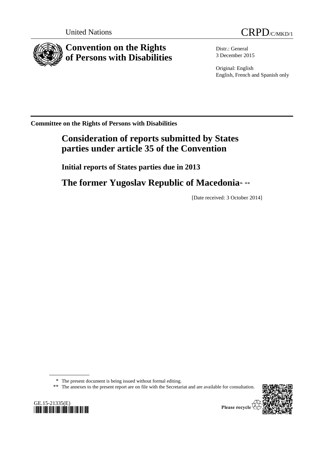



**Convention on the Rights of Persons with Disabilities**

Distr.: General 3 December 2015

Original: English English, French and Spanish only

**Committee on the Rights of Persons with Disabilities**

# **Consideration of reports submitted by States parties under article 35 of the Convention**

**Initial reports of States parties due in 2013**

The former Yugoslav Republic of Macedonia<sup>\*</sup>\*\*

[Date received: 3 October 2014]

\* The present document is being issued without formal editing.

\*\* The annexes to the present report are on file with the Secretariat and are available for consultation.



Please recycle  $\overline{\mathcal{C}}$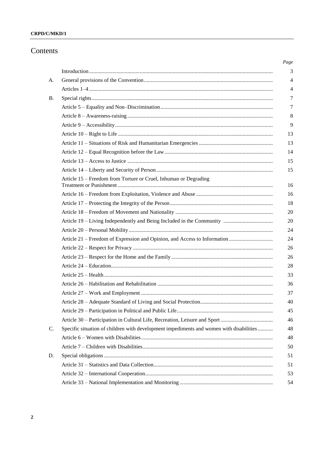## **CRPD/C/MKD/1**

## Contents

| Article 15 - Freedom from Torture or Cruel, Inhuman or Degrading                        |
|-----------------------------------------------------------------------------------------|
|                                                                                         |
|                                                                                         |
|                                                                                         |
|                                                                                         |
|                                                                                         |
|                                                                                         |
|                                                                                         |
|                                                                                         |
|                                                                                         |
|                                                                                         |
|                                                                                         |
|                                                                                         |
|                                                                                         |
|                                                                                         |
|                                                                                         |
| Specific situation of children with development impediments and women with disabilities |
|                                                                                         |
|                                                                                         |
|                                                                                         |
|                                                                                         |
|                                                                                         |
|                                                                                         |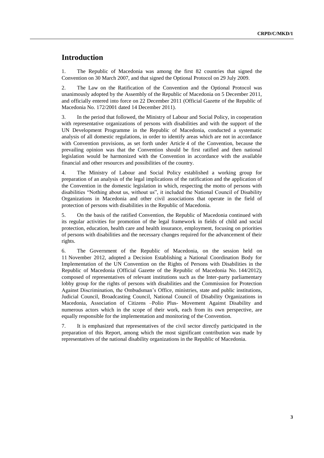## **Introduction**

1. The Republic of Macedonia was among the first 82 countries that signed the Convention on 30 March 2007, and that signed the Optional Protocol on 29 July 2009.

2. The Law on the Ratification of the Convention and the Optional Protocol was unanimously adopted by the Assembly of the Republic of Macedonia on 5 December 2011, and officially entered into force on 22 December 2011 (Official Gazette of the Republic of Macedonia No. 172/2001 dated 14 December 2011).

3. In the period that followed, the Ministry of Labour and Social Policy, in cooperation with representative organizations of persons with disabilities and with the support of the UN Development Programme in the Republic of Macedonia, conducted a systematic analysis of all domestic regulations, in order to identify areas which are not in accordance with Convention provisions, as set forth under Article 4 of the Convention, because the prevailing opinion was that the Convention should be first ratified and then national legislation would be harmonized with the Convention in accordance with the available financial and other resources and possibilities of the country.

4. The Ministry of Labour and Social Policy established a working group for preparation of an analysis of the legal implications of the ratification and the application of the Convention in the domestic legislation in which, respecting the motto of persons with disabilities "Nothing about us, without us", it included the National Council of Disability Organizations in Macedonia and other civil associations that operate in the field of protection of persons with disabilities in the Republic of Macedonia.

5. On the basis of the ratified Convention, the Republic of Macedonia continued with its regular activities for promotion of the legal framework in fields of child and social protection, education, health care and health insurance, employment, focusing on priorities of persons with disabilities and the necessary changes required for the advancement of their rights.

6. The Government of the Republic of Macedonia, on the session held on 11 November 2012, adopted a Decision Establishing a National Coordination Body for Implementation of the UN Convention on the Rights of Persons with Disabilities in the Republic of Macedonia (Official Gazette of the Republic of Macedonia No. 144/2012), composed of representatives of relevant institutions such as the Inter-party parliamentary lobby group for the rights of persons with disabilities and the Commission for Protection Against Discrimination, the Ombudsman's Office, ministries, state and public institutions, Judicial Council, Broadcasting Council, National Council of Disability Organizations in Macedonia, Association of Citizens –Polio Plus- Movement Against Disability and numerous actors which in the scope of their work, each from its own perspective, are equally responsible for the implementation and monitoring of the Convention.

7. It is emphasized that representatives of the civil sector directly participated in the preparation of this Report, among which the most significant contribution was made by representatives of the national disability organizations in the Republic of Macedonia.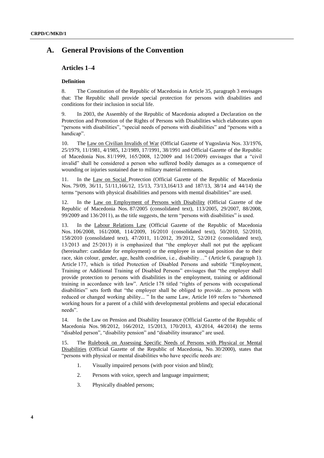## **A. General Provisions of the Convention**

## **Articles 1–4**

#### **Definition**

8. The Constitution of the Republic of Macedonia in Article 35, paragraph 3 envisages that: The Republic shall provide special protection for persons with disabilities and conditions for their inclusion in social life.

9. In 2003, the Assembly of the Republic of Macedonia adopted a Declaration on the Protection and Promotion of the Rights of Persons with Disabilities which elaborates upon "persons with disabilities", "special needs of persons with disabilities" and "persons with a handicap".

10. The Law on Civilian Invalids of War (Official Gazette of Yugoslavia Nos. 33/1976, 25/1979, 11/1981, 4/1985, 12/1989, 17/1991, 38/1991 and Official Gazette of the Republic of Macedonia Nos. 81/1999, 165/2008, 12/2009 and 161/2009) envisages that a "civil invalid" shall be considered a person who suffered bodily damages as a consequence of wounding or injuries sustained due to military material remnants.

11. In the Law on Social Protection (Official Gazette of the Republic of Macedonia Nos. 79/09, 36/11, 51/11,166/12, 15/13, 73/13,164/13 and 187/13, 38/14 and 44/14) the terms "persons with physical disabilities and persons with mental disabilities" are used.

12. In the Law on Employment of Persons with Disability (Official Gazette of the Republic of Macedonia Nos. 87/2005 (consolidated text), 113/2005, 29/2007, 88/2008, 99/2009 and 136/2011), as the title suggests, the term "persons with disabilities" is used.

13. In the Labour Relations Law (Official Gazette of the Republic of Macedonia Nos. 106/2008, 161/2008, 114/2009, 16/2010 (consolidated text), 50/2010, 52/2010, 158/2010 (consolidated text), 47/2011, 11/2012, 39/2012, 52/2012 (consolidated text), 13/2013 and 25/2013) it is emphasized that "the employer shall not put the applicant (hereinafter: candidate for employment) or the employee in unequal position due to their race, skin colour, gender, age, health condition, i.e., disability…" (Article 6, paragraph 1). Article 177, which is titled Protection of Disabled Persons and subtitle "Employment, Training or Additional Training of Disabled Persons" envisages that "the employer shall provide protection to persons with disabilities in the employment, training or additional training in accordance with law". Article 178 titled "rights of persons with occupational disabilities" sets forth that "the employer shall be obliged to provide…to persons with reduced or changed working ability... " In the same Law, Article 169 refers to "shortened working hours for a parent of a child with developmental problems and special educational needs".

14. In the Law on Pension and Disability Insurance (Official Gazette of the Republic of Macedonia Nos. 98/2012, 166/2012, 15/2013, 170/2013, 43/2014, 44/2014) the terms "disabled person", "disability pension" and "disability insurance" are used.

15. The Rulebook on Assessing Specific Needs of Persons with Physical or Mental Disabilities (Official Gazette of the Republic of Macedonia, No. 30/2000), states that "persons with physical or mental disabilities who have specific needs are:

- 1. Visually impaired persons (with poor vision and blind);
- 2. Persons with voice, speech and language impairment;
- 3. Physically disabled persons;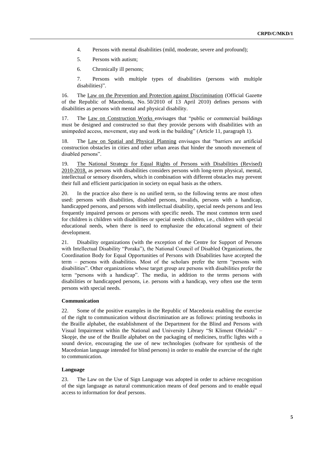- 4. Persons with mental disabilities (mild, moderate, severe and profound);
- 5. Persons with autism;
- 6. Chronically ill persons;

7. Persons with multiple types of disabilities (persons with multiple disabilities)".

16. The Law on the Prevention and Protection against Discrimination (Official Gazette of the Republic of Macedonia, No. 50/2010 of 13 April 2010) defines persons with disabilities as persons with mental and physical disability.

17. The Law on Construction Works envisages that "public or commercial buildings must be designed and constructed so that they provide persons with disabilities with an unimpeded access, movement, stay and work in the building" (Article 11, paragraph 1).

18. The Law on Spatial and Physical Planning envisages that "barriers are artificial construction obstacles in cities and other urban areas that hinder the smooth movement of disabled persons".

19. The National Strategy for Equal Rights of Persons with Disabilities (Revised) 2010-2018, as persons with disabilities considers persons with long-term physical, mental, intellectual or sensory disorders, which in combination with different obstacles may prevent their full and efficient participation in society on equal basis as the others.

20. In the practice also there is no unified term, so the following terms are most often used: persons with disabilities, disabled persons, invalids, persons with a handicap, handicapped persons, and persons with intellectual disability, special needs persons and less frequently impaired persons or persons with specific needs. The most common term used for children is children with disabilities or special needs children, i.e., children with special educational needs, when there is need to emphasize the educational segment of their development.

21. Disability organizations (with the exception of the Centre for Support of Persons with Intellectual Disability "Poraka"), the National Council of Disabled Organizations, the Coordination Body for Equal Opportunities of Persons with Disabilities have accepted the term – persons with disabilities. Most of the scholars prefer the term "persons with disabilities". Other organizations whose target group are persons with disabilities prefer the term "persons with a handicap". The media, in addition to the terms persons with disabilities or handicapped persons, i.e. persons with a handicap, very often use the term persons with special needs.

#### **Communication**

22. Some of the positive examples in the Republic of Macedonia enabling the exercise of the right to communication without discrimination are as follows: printing textbooks in the Braille alphabet, the establishment of the Department for the Blind and Persons with Visual Impairment within the National and University Library "St Kliment Ohridski" – Skopje, the use of the Braille alphabet on the packaging of medicines, traffic lights with a sound device, encouraging the use of new technologies (software for synthesis of the Macedonian language intended for blind persons) in order to enable the exercise of the right to communication.

#### **Language**

23. The Law on the Use of Sign Language was adopted in order to achieve recognition of the sign language as natural communication means of deaf persons and to enable equal access to information for deaf persons.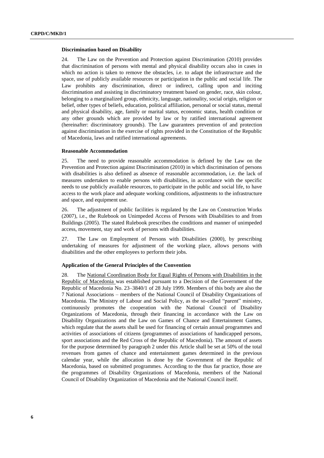#### **Discrimination based on Disability**

24. The Law on the Prevention and Protection against Discrimination (2010) provides that discrimination of persons with mental and physical disability occurs also in cases in which no action is taken to remove the obstacles, i.e. to adapt the infrastructure and the space, use of publicly available resources or participation in the public and social life. The Law prohibits any discrimination, direct or indirect, calling upon and inciting discrimination and assisting in discriminatory treatment based on gender, race, skin colour, belonging to a marginalized group, ethnicity, language, nationality, social origin, religion or belief, other types of beliefs, education, political affiliation, personal or social status, mental and physical disability, age, family or marital status, economic status, health condition or any other grounds which are provided by law or by ratified international agreement (hereinafter: discriminatory grounds). The Law guarantees prevention of and protection against discrimination in the exercise of rights provided in the Constitution of the Republic of Macedonia, laws and ratified international agreements.

#### **Reasonable Accommodation**

25. The need to provide reasonable accommodation is defined by the Law on the Prevention and Protection against Discrimination (2010) in which discrimination of persons with disabilities is also defined as absence of reasonable accommodation, i.e. the lack of measures undertaken to enable persons with disabilities, in accordance with the specific needs to use publicly available resources, to participate in the public and social life, to have access to the work place and adequate working conditions, adjustments to the infrastructure and space, and equipment use.

26. The adjustment of public facilities is regulated by the Law on Construction Works (2007), i.e., the Rulebook on Unimpeded Access of Persons with Disabilities to and from Buildings (2005). The stated Rulebook prescribes the conditions and manner of unimpeded access, movement, stay and work of persons with disabilities.

27. The Law on Employment of Persons with Disabilities (2000), by prescribing undertaking of measures for adjustment of the working place, allows persons with disabilities and the other employees to perform their jobs.

#### **Application of the General Principles of the Convention**

28. The National Coordination Body for Equal Rights of Persons with Disabilities in the Republic of Macedonia was established pursuant to a Decision of the Government of the Republic of Macedonia No. 23–3840/1 of 28 July 1999. Members of this body are also the 7 National Associations – members of the National Council of Disability Organizations of Macedonia. The Ministry of Labour and Social Policy, as the so-called "parent" ministry, continuously promotes the cooperation with the National Council of Disability Organizations of Macedonia, through their financing in accordance with the Law on Disability Organizations and the Law on Games of Chance and Entertainment Games, which regulate that the assets shall be used for financing of certain annual programmes and activities of associations of citizens (programmes of associations of handicapped persons, sport associations and the Red Cross of the Republic of Macedonia). The amount of assets for the purpose determined by paragraph 2 under this Article shall be set at 50% of the total revenues from games of chance and entertainment games determined in the previous calendar year, while the allocation is done by the Government of the Republic of Macedonia, based on submitted programmes. According to the thus far practice, those are the programmes of Disability Organizations of Macedonia, members of the National Council of Disability Organization of Macedonia and the National Council itself.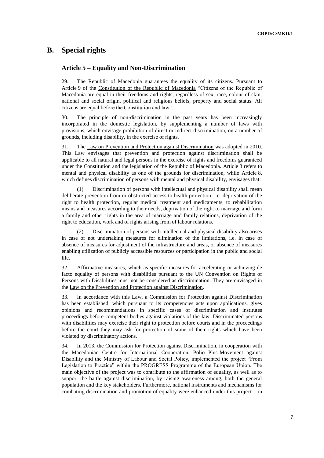## **B. Special rights**

## **Article 5 – Equality and Non-Discrimination**

29. The Republic of Macedonia guarantees the equality of its citizens. Pursuant to Article 9 of the Constitution of the Republic of Macedonia "Citizens of the Republic of Macedonia are equal in their freedoms and rights, regardless of sex, race, colour of skin, national and social origin, political and religious beliefs, property and social status. All citizens are equal before the Constitution and law".

30. The principle of non-discrimination in the past years has been increasingly incorporated in the domestic legislation, by supplementing a number of laws with provisions, which envisage prohibition of direct or indirect discrimination, on a number of grounds, including disability, in the exercise of rights.

31. The Law on Prevention and Protection against Discrimination was adopted in 2010. This Law envisages that prevention and protection against discrimination shall be applicable to all natural and legal persons in the exercise of rights and freedoms guaranteed under the Constitution and the legislation of the Republic of Macedonia. Article 3 refers to mental and physical disability as one of the grounds for discrimination, while Article 8, which defines discrimination of persons with mental and physical disability, envisages that:

(1) Discrimination of persons with intellectual and physical disability shall mean deliberate prevention from or obstructed access to health protection, i.e. deprivation of the right to health protection, regular medical treatment and medicaments, to rehabilitation means and measures according to their needs, deprivation of the right to marriage and form a family and other rights in the area of marriage and family relations, deprivation of the right to education, work and of rights arising from of labour relations.

Discrimination of persons with intellectual and physical disability also arises in case of not undertaking measures for elimination of the limitations, i.e. in case of absence of measures for adjustment of the infrastructure and areas, or absence of measures enabling utilization of publicly accessible resources or participation in the public and social life.

32. Affirmative measures, which as specific measures for accelerating or achieving de facto equality of persons with disabilities pursuant to the UN Convention on Rights of Persons with Disabilities must not be considered as discrimination. They are envisaged in the Law on the Prevention and Protection against Discrimination.

33. In accordance with this Law, a Commission for Protection against Discrimination has been established, which pursuant to its competencies acts upon applications, gives opinions and recommendations in specific cases of discrimination and institutes proceedings before competent bodies against violations of the law. Discriminated persons with disabilities may exercise their right to protection before courts and in the proceedings before the court they may ask for protection of some of their rights which have been violated by discriminatory actions.

34. In 2013, the Commission for Protection against Discrimination, in cooperation with the Macedonian Centre for International Cooperation, Polio Plus-Movement against Disability and the Ministry of Labour and Social Policy, implemented the project "From Legislation to Practice" within the PROGRESS Programme of the European Union. The main objective of the project was to contribute to the affirmation of equality, as well as to support the battle against discrimination, by raising awareness among, both the general population and the key stakeholders. Furthermore, national instruments and mechanisms for combating discrimination and promotion of equality were enhanced under this project – in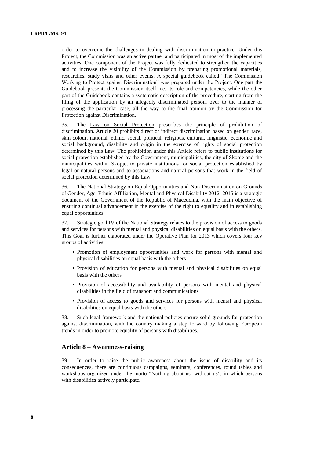order to overcome the challenges in dealing with discrimination in practice. Under this Project, the Commission was an active partner and participated in most of the implemented activities. One component of the Project was fully dedicated to strengthen the capacities and to increase the visibility of the Commission by preparing promotional materials, researches, study visits and other events. A special guidebook called "The Commission Working to Protect against Discrimination" was prepared under the Project. One part the Guidebook presents the Commission itself, i.e. its role and competencies, while the other part of the Guidebook contains a systematic description of the procedure, starting from the filing of the application by an allegedly discriminated person, over to the manner of processing the particular case, all the way to the final opinion by the Commission for Protection against Discrimination.

35. The Law on Social Protection prescribes the principle of prohibition of discrimination. Article 20 prohibits direct or indirect discrimination based on gender, race, skin colour, national, ethnic, social, political, religious, cultural, linguistic, economic and social background, disability and origin in the exercise of rights of social protection determined by this Law. The prohibition under this Article refers to public institutions for social protection established by the Government, municipalities, the city of Skopje and the municipalities within Skopje, to private institutions for social protection established by legal or natural persons and to associations and natural persons that work in the field of social protection determined by this Law.

36. The National Strategy on Equal Opportunities and Non-Discrimination on Grounds of Gender, Age, Ethnic Affiliation, Mental and Physical Disability 2012–2015 is a strategic document of the Government of the Republic of Macedonia, with the main objective of ensuring continual advancement in the exercise of the right to equality and in establishing equal opportunities.

37. Strategic goal IV of the National Strategy relates to the provision of access to goods and services for persons with mental and physical disabilities on equal basis with the others. This Goal is further elaborated under the Operative Plan for 2013 which covers four key groups of activities:

- Promotion of employment opportunities and work for persons with mental and physical disabilities on equal basis with the others
- Provision of education for persons with mental and physical disabilities on equal basis with the others
- Provision of accessibility and availability of persons with mental and physical disabilities in the field of transport and communications
- Provision of access to goods and services for persons with mental and physical disabilities on equal basis with the others

38. Such legal framework and the national policies ensure solid grounds for protection against discrimination, with the country making a step forward by following European trends in order to promote equality of persons with disabilities.

#### **Article 8 – Awareness-raising**

39. In order to raise the public awareness about the issue of disability and its consequences, there are continuous campaigns, seminars, conferences, round tables and workshops organized under the motto "Nothing about us, without us", in which persons with disabilities actively participate.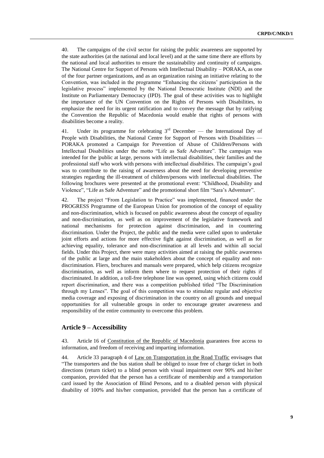40. The campaigns of the civil sector for raising the public awareness are supported by the state authorities (at the national and local level) and at the same time there are efforts by the national and local authorities to ensure the sustainability and continuity of campaigns. The National Centre for Support of Persons with Intellectual Disability – PORAKA, as one of the four partner organizations, and as an organization raising an initiative relating to the Convention, was included in the programme "Enhancing the citizens' participation in the legislative process" implemented by the National Democratic Institute (NDI) and the Institute on Parliamentary Democracy (IPD). The goal of these activities was to highlight the importance of the UN Convention on the Rights of Persons with Disabilities, to emphasize the need for its urgent ratification and to convey the message that by ratifying the Convention the Republic of Macedonia would enable that rights of persons with disabilities become a reality.

41. Under its programme for celebrating  $3<sup>rd</sup>$  December — the International Day of People with Disabilities, the National Centre for Support of Persons with Disabilities — PORAKA promoted a Campaign for Prevention of Abuse of Children/Persons with Intellectual Disabilities under the motto "Life as Safe Adventure". The campaign was intended for the |public at large, persons with intellectual disabilities, their families and the professional staff who work with persons with intellectual disabilities. The campaign's goal was to contribute to the raising of awareness about the need for developing preventive strategies regarding the ill-treatment of children/persons with intellectual disabilities. The following brochures were presented at the promotional event: "Childhood, Disability and Violence", "Life as Safe Adventure" and the promotional short film "Sara's Adventure".

42. The project "From Legislation to Practice" was implemented, financed under the PROGRESS Programme of the European Union for promotion of the concept of equality and non-discrimination, which is focused on public awareness about the concept of equality and non-discrimination, as well as on improvement of the legislative framework and national mechanisms for protection against discrimination, and in countering discrimination. Under the Project, the public and the media were called upon to undertake joint efforts and actions for more effective fight against discrimination, as well as for achieving equality, tolerance and non-discrimination at all levels and within all social fields. Under this Project, there were many activities aimed at raising the public awareness of the public at large and the main stakeholders about the concept of equality and nondiscrimination. Fliers, brochures and manuals were prepared, which help citizens recognize discrimination, as well as inform them where to request protection of their rights if discriminated. In addition, a toll-free telephone line was opened, using which citizens could report discrimination, and there was a competition published titled "The Discrimination through my Lenses". The goal of this competition was to stimulate regular and objective media coverage and exposing of discrimination in the country on all grounds and unequal opportunities for all vulnerable groups in order to encourage greater awareness and responsibility of the entire community to overcome this problem.

## **Article 9 – Accessibility**

43. Article 16 of Constitution of the Republic of Macedonia guarantees free access to information, and freedom of receiving and imparting information.

44. Article 33 paragraph 4 of Law on Transportation in the Road Traffic envisages that "The transporters and the bus station shall be obliged to issue free of charge ticket in both directions (return ticket) to a blind person with visual impairment over 90% and his\her companion, provided that the person has a certificate of membership and a transportation card issued by the Association of Blind Persons, and to a disabled person with physical disability of 100% and his/her companion, provided that the person has a certificate of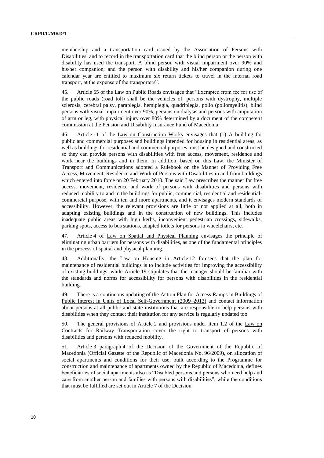membership and a transportation card issued by the Association of Persons with Disabilities, and to record in the transportation card that the blind person or the person with disability has used the transport. A blind person with visual impairment over 90% and his/her companion, and the person with disability and his/her companion during one calendar year are entitled to maximum six return tickets to travel in the internal road transport, at the expense of the transporters".

45. Article 65 of the Law on Public Roads envisages that "Exempted from fee for use of the public roads (road toll) shall be the vehicles of: persons with dystrophy, multiple sclerosis, cerebral palsy, paraplegia, hemiplegia, quadriplegia, polio (poliomyelitis), blind persons with visual impairment over 90%, persons on dialysis and persons with amputation of arm or leg, with physical injury over 80% determined by a document of the competent commission at the Pension and Disability Insurance Fund of Macedonia.

46. Article 11 of the Law on Construction Works envisages that (1) A building for public and commercial purposes and buildings intended for housing in residential areas, as well as buildings for residential and commercial purposes must be designed and constructed so they can provide persons with disabilities with free access, movement, residence and work near the buildings and in them. In addition, based on this Law, the Minister of Transport and Communications adopted a Rulebook on the Manner of Providing Free Access, Movement, Residence and Work of Persons with Disabilities in and from buildings which entered into force on 20 February 2010. The said Law prescribes the manner for free access, movement, residence and work of persons with disabilities and persons with reduced mobility to and in the buildings for public, commercial, residential and residentialcommercial purpose, with ten and more apartments, and it envisages modern standards of accessibility. However, the relevant provisions are little or not applied at all, both in adapting existing buildings and in the construction of new buildings. This includes inadequate public areas with high kerbs, inconvenient pedestrian crossings, sidewalks, parking spots, access to bus stations, adapted toilets for persons in wheelchairs, etc.

47. Article 4 of Law on Spatial and Physical Planning envisages the principle of eliminating urban barriers for persons with disabilities, as one of the fundamental principles in the process of spatial and physical planning.

48. Additionally, the Law on Housing in Article 12 foresees that the plan for maintenance of residential buildings is to include activities for improving the accessibility of existing buildings, while Article 19 stipulates that the manager should be familiar with the standards and norms for accessibility for persons with disabilities in the residential building.

49. There is a continuous updating of the Action Plan for Access Ramps in Buildings of Public Interest in Units of Local Self-Government (2009–2013) and contact information about persons at all public and state institutions that are responsible to help persons with disabilities when they contact their institution for any service is regularly updated too.

50. The general provisions of Article 2 and provisions under item 1.2 of the Law on Contracts for Railway Transportation cover the right to transport of persons with disabilities and persons with reduced mobility.

51. Article 3 paragraph 4 of the Decision of the Government of the Republic of Macedonia (Official Gazette of the Republic of Macedonia No. 96/2009), on allocation of social apartments and conditions for their use, built according to the Programme for construction and maintenance of apartments owned by the Republic of Macedonia, defines beneficiaries of social apartments also as "Disabled persons and persons who need help and care from another person and families with persons with disabilities", while the conditions that must be fulfilled are set out in Article 7 of the Decision.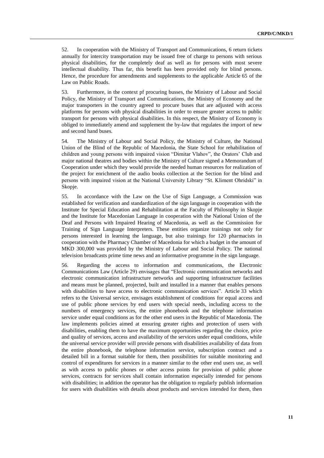52. In cooperation with the Ministry of Transport and Communications, 6 return tickets annually for intercity transportation may be issued free of charge to persons with serious physical disabilities, for the completely deaf as well as for persons with most severe intellectual disability. Thus far, this benefit has been provided only for blind persons. Hence, the procedure for amendments and supplements to the applicable Article 65 of the Law on Public Roads.

53. Furthermore, in the context pf procuring busses, the Ministry of Labour and Social Policy, the Ministry of Transport and Communications, the Ministry of Economy and the major transporters in the country agreed to procure buses that are adjusted with access platforms for persons with physical disabilities in order to ensure greater access to public transport for persons with physical disabilities. In this respect, the Ministry of Economy is obliged to immediately amend and supplement the by-law that regulates the import of new and second hand buses.

54. The Ministry of Labour and Social Policy, the Ministry of Culture, the National Union of the Blind of the Republic of Macedonia, the State School for rehabilitation of children and young persons with impaired vision "Dimitar Vlahov", the Orators' Club and major national theatres and bodies within the Ministry of Culture signed a Memorandum of Cooperation under which they would provide the needed human resources for realization of the project for enrichment of the audio books collection at the Section for the blind and persons with impaired vision at the National University Library "St. Kliment Ohridski" in Skopje.

55. In accordance with the Law on the Use of Sign Language, a Commission was established for verification and standardization of the sign language in cooperation with the Institute for Special Education and Rehabilitation at the Faculty of Philosophy in Skopje and the Institute for Macedonian Language in cooperation with the National Union of the Deaf and Persons with Impaired Hearing of Macedonia, as well as the Commission for Training of Sign Language Interpreters. These entities organize trainings not only for persons interested in learning the language, but also trainings for 120 pharmacists in cooperation with the Pharmacy Chamber of Macedonia for which a budget in the amount of MKD 300,000 was provided by the Ministry of Labour and Social Policy. The national television broadcasts prime time news and an informative programme in the sign language.

56. Regarding the access to information and communications, the Electronic Communications Law (Article 29) envisages that "Electronic communication networks and electronic communication infrastructure networks and supporting infrastructure facilities and means must be planned, projected, built and installed in a manner that enables persons with disabilities to have access to electronic communication services". Article 33 which refers to the Universal service, envisages establishment of conditions for equal access and use of public phone services by end users with special needs, including access to the numbers of emergency services, the entire phonebook and the telephone information service under equal conditions as for the other end users in the Republic of Macedonia. The law implements policies aimed at ensuring greater rights and protection of users with disabilities, enabling them to have the maximum opportunities regarding the choice, price and quality of services, access and availability of the services under equal conditions, while the universal service provider will provide persons with disabilities availability of data from the entire phonebook, the telephone information service, subscription contract and a detailed bill in a format suitable for them, then possibilities for suitable monitoring and control of expenditures for services in a manner similar to the other end users use, as well as with access to public phones or other access points for provision of public phone services, contracts for services shall contain information especially intended for persons with disabilities; in addition the operator has the obligation to regularly publish information for users with disabilities with details about products and services intended for them, then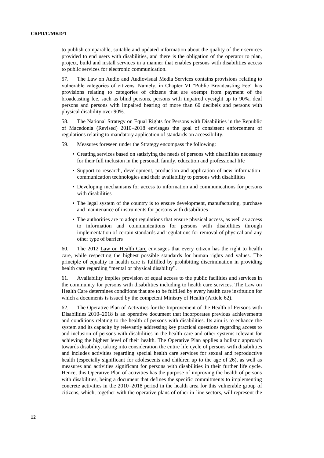to publish comparable, suitable and updated information about the quality of their services provided to end users with disabilities, and there is the obligation of the operator to plan, project, build and install services in a manner that enables persons with disabilities access to public services for electronic communication.

57. The Law on Audio and Audiovisual Media Services contains provisions relating to vulnerable categories of citizens. Namely, in Chapter VI "Public Broadcasting Fee" has provisions relating to categories of citizens that are exempt from payment of the broadcasting fee, such as blind persons, persons with impaired eyesight up to 90%, deaf persons and persons with impaired hearing of more than 60 decibels and persons with physical disability over 90%.

58. The National Strategy on Equal Rights for Persons with Disabilities in the Republic of Macedonia (Revised) 2010–2018 envisages the goal of consistent enforcement of regulations relating to mandatory application of standards on accessibility.

59. Measures foreseen under the Strategy encompass the following:

- Creating services based on satisfying the needs of persons with disabilities necessary for their full inclusion in the personal, family, education and professional life
- Support to research, development, production and application of new informationcommunication technologies and their availability to persons with disabilities
- Developing mechanisms for access to information and communications for persons with disabilities
- The legal system of the country is to ensure development, manufacturing, purchase and maintenance of instruments for persons with disabilities
- The authorities are to adopt regulations that ensure physical access, as well as access to information and communications for persons with disabilities through implementation of certain standards and regulations for removal of physical and any other type of barriers

60. The 2012 Law on Health Care envisages that every citizen has the right to health care, while respecting the highest possible standards for human rights and values. The principle of equality in health care is fulfilled by prohibiting discrimination in providing health care regarding "mental or physical disability".

61. Availability implies provision of equal access to the public facilities and services in the community for persons with disabilities including to health care services. The Law on Health Care determines conditions that are to be fulfilled by every health care institution for which a documents is issued by the competent Ministry of Health (Article 62).

62. The Operative Plan of Activities for the Improvement of the Health of Persons with Disabilities 2010–2018 is an operative document that incorporates previous achievements and conditions relating to the health of persons with disabilities. Its aim is to enhance the system and its capacity by relevantly addressing key practical questions regarding access to and inclusion of persons with disabilities in the health care and other systems relevant for achieving the highest level of their health. The Operative Plan applies a holistic approach towards disability, taking into consideration the entire life cycle of persons with disabilities and includes activities regarding special health care services for sexual and reproductive health (especially significant for adolescents and children up to the age of 26), as well as measures and activities significant for persons with disabilities in their further life cycle. Hence, this Operative Plan of activities has the purpose of improving the health of persons with disabilities, being a document that defines the specific commitments to implementing concrete activities in the 2010–2018 period in the health area for this vulnerable group of citizens, which, together with the operative plans of other in-line sectors, will represent the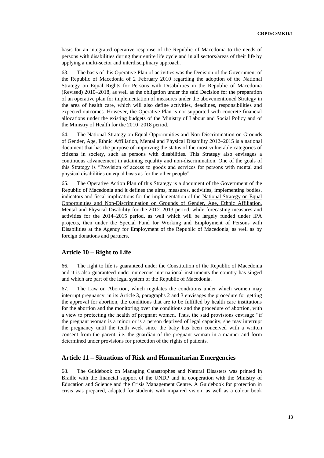basis for an integrated operative response of the Republic of Macedonia to the needs of persons with disabilities during their entire life cycle and in all sectors/areas of their life by applying a multi-sector and interdisciplinary approach.

63. The basis of this Operative Plan of activities was the Decision of the Government of the Republic of Macedonia of 2 February 2010 regarding the adoption of the National Strategy on Equal Rights for Persons with Disabilities in the Republic of Macedonia (Revised) 2010–2018, as well as the obligation under the said Decision for the preparation of an operative plan for implementation of measures under the abovementioned Strategy in the area of health care, which will also define activities, deadlines, responsibilities and expected outcomes. However, the Operative Plan is not supported with concrete financial allocations under the existing budgets of the Ministry of Labour and Social Policy and of the Ministry of Health for the 2010–2018 period.

64. The National Strategy on Equal Opportunities and Non-Discrimination on Grounds of Gender, Age, Ethnic Affiliation, Mental and Physical Disability 2012–2015 is a national document that has the purpose of improving the status of the most vulnerable categories of citizens in society, such as persons with disabilities. This Strategy also envisages a continuous advancement in attaining equality and non-discrimination. One of the goals of this Strategy is "Provision of access to goods and services for persons with mental and physical disabilities on equal basis as for the other people".

65. The Operative Action Plan of this Strategy is a document of the Government of the Republic of Macedonia and it defines the aims, measures, activities, implementing bodies, indicators and fiscal implications for the implementation of the National Strategy on Equal Opportunities and Non-Discrimination on Grounds of Gender, Age, Ethnic Affiliation, Mental and Physical Disability for the 2012–2013 period, while forecasting measures and activities for the 2014–2015 period, as well which will be largely funded under IPA projects, then under the Special Fund for Working and Employment of Persons with Disabilities at the Agency for Employment of the Republic of Macedonia, as well as by foreign donations and partners.

## **Article 10 – Right to Life**

66. The right to life is guaranteed under the Constitution of the Republic of Macedonia and it is also guaranteed under numerous international instruments the country has singed and which are part of the legal system of the Republic of Macedonia.

67. The Law on Abortion, which regulates the conditions under which women may interrupt pregnancy, in its Article 3, paragraphs 2 and 3 envisages the procedure for getting the approval for abortion, the conditions that are to be fulfilled by health care institutions for the abortion and the monitoring over the conditions and the procedure of abortion, with a view to protecting the health of pregnant women. Thus, the said provisions envisage "if the pregnant woman is a minor or is a person deprived of legal capacity, she may interrupt the pregnancy until the tenth week since the baby has been conceived with a written consent from the parent, i.e. the guardian of the pregnant woman in a manner and form determined under provisions for protection of the rights of patients.

#### **Article 11 – Situations of Risk and Humanitarian Emergencies**

68. The Guidebook on Managing Catastrophes and Natural Disasters was printed in Braille with the financial support of the UNDP and in cooperation with the Ministry of Education and Science and the Crisis Management Centre. A Guidebook for protection in crisis was prepared, adapted for students with impaired vision, as well as a colour book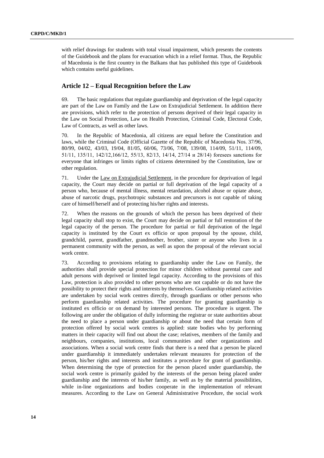with relief drawings for students with total visual impairment, which presents the contents of the Guidebook and the plans for evacuation which in a relief format. Thus, the Republic of Macedonia is the first country in the Balkans that has published this type of Guidebook which contains useful guidelines.

## **Article 12 – Equal Recognition before the Law**

69. The basic regulations that regulate guardianship and deprivation of the legal capacity are part of the Law on Family and the Law on Extrajudicial Settlement. In addition there are provisions, which refer to the protection of persons deprived of their legal capacity in the Law on Social Protection, Law on Health Protection, Criminal Code, Electoral Code, Law of Contracts, as well as other laws.

70. In the Republic of Macedonia, all citizens are equal before the Constitution and laws, while the Criminal Code (Official Gazette of the Republic of Macedonia Nos. 37/96, 80/99, 04/02, 43/03, 19/04, 81/05, 60/06, 73/06, 7/08, 139/08, 114/09, 51/11, 114/09, 51/11, 135/11, 142/12,166/12, 55/13, 82/13, 14/14, 27/14 и 28/14) foresees sanctions for everyone that infringes or limits rights of citizens determined by the Constitution, law or other regulation.

71. Under the Law on Extrajudicial Settlement, in the procedure for deprivation of legal capacity, the Court may decide on partial or full deprivation of the legal capacity of a person who, because of mental illness, mental retardation, alcohol abuse or opiate abuse, abuse of narcotic drugs, psychotropic substances and precursors is not capable of taking care of himself/herself and of protecting his/her rights and interests.

72. When the reasons on the grounds of which the person has been deprived of their legal capacity shall stop to exist, the Court may decide on partial or full restoration of the legal capacity of the person. The procedure for partial or full deprivation of the legal capacity is instituted by the Court ex officio or upon proposal by the spouse, child, grandchild, parent, grandfather, grandmother, brother, sister or anyone who lives in a permanent community with the person, as well as upon the proposal of the relevant social work centre.

73. According to provisions relating to guardianship under the Law on Family, the authorities shall provide special protection for minor children without parental care and adult persons with deprived or limited legal capacity. According to the provisions of this Law, protection is also provided to other persons who are not capable or do not have the possibility to protect their rights and interests by themselves. Guardianship related activities are undertaken by social work centres directly, through guardians or other persons who perform guardianship related activities. The procedure for granting guardianship is instituted ex officio or on demand by interested persons. The procedure is urgent. The following are under the obligation of dully informing the registrar or state authorities about the need to place a person under guardianship or about the need that certain form of protection offered by social work centres is applied: state bodies who by performing matters in their capacity will find out about the case; relatives, members of the family and neighbours, companies, institutions, local communities and other organizations and associations. When a social work centre finds that there is a need that a person be placed under guardianship it immediately undertakes relevant measures for protection of the person, his/her rights and interests and institutes a procedure for grant of guardianship. When determining the type of protection for the person placed under guardianship, the social work centre is primarily guided by the interests of the person being placed under guardianship and the interests of his/her family, as well as by the material possibilities, while in-line organizations and bodies cooperate in the implementation of relevant measures. According to the Law on General Administrative Procedure, the social work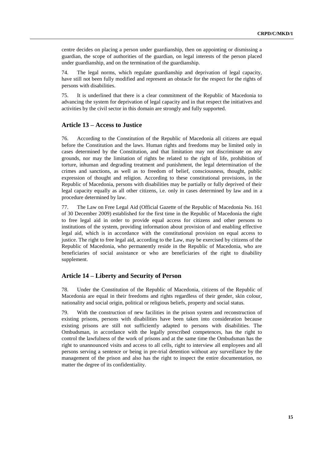centre decides on placing a person under guardianship, then on appointing or dismissing a guardian, the scope of authorities of the guardian, on legal interests of the person placed under guardianship, and on the termination of the guardianship.

74. The legal norms, which regulate guardianship and deprivation of legal capacity, have still not been fully modified and represent an obstacle for the respect for the rights of persons with disabilities.

75. It is underlined that there is a clear commitment of the Republic of Macedonia to advancing the system for deprivation of legal capacity and in that respect the initiatives and activities by the civil sector in this domain are strongly and fully supported.

#### **Article 13 – Access to Justice**

76. According to the Constitution of the Republic of Macedonia all citizens are equal before the Constitution and the laws. Human rights and freedoms may be limited only in cases determined by the Constitution, and that limitation may not discriminate on any grounds, nor may the limitation of rights be related to the right of life, prohibition of torture, inhuman and degrading treatment and punishment, the legal determination of the crimes and sanctions, as well as to freedom of belief, consciousness, thought, public expression of thought and religion. According to these constitutional provisions, in the Republic of Macedonia, persons with disabilities may be partially or fully deprived of their legal capacity equally as all other citizens, i.e. only in cases determined by law and in a procedure determined by law.

77. The Law on Free Legal Aid (Official Gazette of the Republic of Macedonia No. 161 of 30 December 2009) established for the first time in the Republic of Macedonia the right to free legal aid in order to provide equal access for citizens and other persons to institutions of the system, providing information about provision of and enabling effective legal aid, which is in accordance with the constitutional provision on equal access to justice. The right to free legal aid, according to the Law, may be exercised by citizens of the Republic of Macedonia, who permanently reside in the Republic of Macedonia, who are beneficiaries of social assistance or who are beneficiaries of the right to disability supplement.

## **Article 14 – Liberty and Security of Person**

78. Under the Constitution of the Republic of Macedonia, citizens of the Republic of Macedonia are equal in their freedoms and rights regardless of their gender, skin colour, nationality and social origin, political or religious beliefs, property and social status.

79. With the construction of new facilities in the prison system and reconstruction of existing prisons, persons with disabilities have been taken into consideration because existing prisons are still not sufficiently adapted to persons with disabilities. The Ombudsman, in accordance with the legally prescribed competences, has the right to control the lawfulness of the work of prisons and at the same time the Ombudsman has the right to unannounced visits and access to all cells, right to interview all employees and all persons serving a sentence or being in pre-trial detention without any surveillance by the management of the prison and also has the right to inspect the entire documentation, no matter the degree of its confidentiality.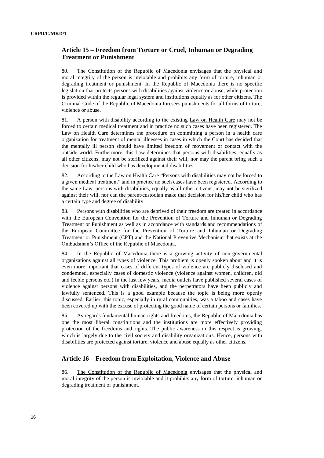## **Article 15 – Freedom from Torture or Cruel, Inhuman or Degrading Treatment or Punishment**

80. The Constitution of the Republic of Macedonia envisages that the physical and moral integrity of the person is inviolable and prohibits any form of torture, inhuman or degrading treatment or punishment. In the Republic of Macedonia there is no specific legislation that protects persons with disabilities against violence or abuse, while protection is provided within the regular legal system and institutions equally as for other citizens. The Criminal Code of the Republic of Macedonia foresees punishments for all forms of torture, violence or abuse.

81. A person with disability according to the existing Law on Health Care may not be forced to certain medical treatment and in practice no such cases have been registered. The Law on Health Care determines the procedure on committing a person in a health care organization for treatment of mental illnesses in cases in which the Court has decided that the mentally ill person should have limited freedom of movement or contact with the outside world. Furthermore, this Law determines that persons with disabilities, equally as all other citizens, may not be sterilized against their will, nor may the parent bring such a decision for his/her child who has developmental disabilities.

82. According to the Law on Health Care "Persons with disabilities may not be forced to a given medical treatment" and in practice no such cases have been registered. According to the same Law, persons with disabilities, equally as all other citizens, may not be sterilized against their will, nor can the parent/custodian make that decision for his/her child who has a certain type and degree of disability.

83. Persons with disabilities who are deprived of their freedom are treated in accordance with the European Convention for the Prevention of Torture and Inhuman or Degrading Treatment or Punishment as well as in accordance with standards and recommendations of the European Committee for the Prevention of Torture and Inhuman or Degrading Treatment or Punishment (CPT) and the National Preventive Mechanism that exists at the Ombudsman's Office of the Republic of Macedonia.

84. In the Republic of Macedonia there is a growing activity of non-governmental organizations against all types of violence. This problem is openly spoken about and it is even more important that cases of different types of violence are publicly disclosed and condemned, especially cases of domestic violence (violence against women, children, old and feeble persons etc.) In the last few years, media outlets have published several cases of violence against persons with disabilities, and the perpetrators have been publicly and lawfully sentenced. This is a good example because the topic is being more openly discussed. Earlier, this topic, especially in rural communities, was a taboo and cases have been covered up with the excuse of protecting the good name of certain persons or families.

85. As regards fundamental human rights and freedoms, the Republic of Macedonia has one the most liberal constitutions and the institutions are more effectively providing protection of the freedoms and rights. The public awareness in this respect is growing, which is largely due to the civil society and disability organizations. Hence, persons with disabilities are protected against torture, violence and abuse equally as other citizens.

## **Article 16 – Freedom from Exploitation, Violence and Abuse**

86. The Constitution of the Republic of Macedonia envisages that the physical and moral integrity of the person is inviolable and it prohibits any form of torture, inhuman or degrading treatment or punishment.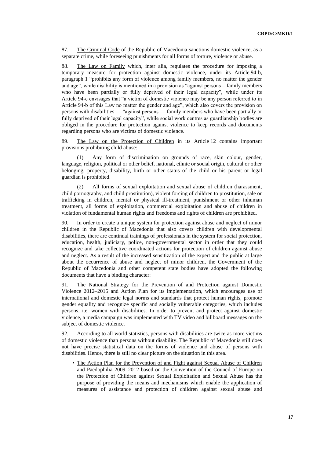87. The Criminal Code of the Republic of Macedonia sanctions domestic violence, as a separate crime, while foreseeing punishments for all forms of torture, violence or abuse.

88. The Law on Family which, inter alia, regulates the procedure for imposing a temporary measure for protection against domestic violence, under its Article 94-b, paragraph 1 "prohibits any form of violence among family members, no matter the gender and age", while disability is mentioned in a provision as "against persons – family members who have been partially or fully deprived of their legal capacity", while under its Article 94-c envisages that "a victim of domestic violence may be any person referred to in Article 94-b of this Law no matter the gender and age", which also covers the provision on persons with disabilities — "against persons — family members who have been partially or fully deprived of their legal capacity", while social work centres as guardianship bodies are obliged in the procedure for protection against violence to keep records and documents regarding persons who are victims of domestic violence.

89. The Law on the Protection of Children in its Article 12 contains important provisions prohibiting child abuse:

(1) Any form of discrimination on grounds of race, skin colour, gender, language, religion, political or other belief, national, ethnic or social origin, cultural or other belonging, property, disability, birth or other status of the child or his parent or legal guardian is prohibited.

(2) All forms of sexual exploitation and sexual abuse of children (harassment, child pornography, and child prostitution), violent forcing of children to prostitution, sale or trafficking in children, mental or physical ill-treatment, punishment or other inhuman treatment, all forms of exploitation, commercial exploitation and abuse of children in violation of fundamental human rights and freedoms and rights of children are prohibited.

90. In order to create a unique system for protection against abuse and neglect of minor children in the Republic of Macedonia that also covers children with developmental disabilities, there are continual trainings of professionals in the system for social protection, education, health, judiciary, police, non-governmental sector in order that they could recognize and take collective coordinated actions for protection of children against abuse and neglect. As a result of the increased sensitization of the expert and the public at large about the occurrence of abuse and neglect of minor children, the Government of the Republic of Macedonia and other competent state bodies have adopted the following documents that have a binding character:

91. The National Strategy for the Prevention of and Protection against Domestic Violence 2012–2015 and Action Plan for its implementation, which encourages use of international and domestic legal norms and standards that protect human rights, promote gender equality and recognize specific and socially vulnerable categories, which includes persons, i.e. women with disabilities. In order to prevent and protect against domestic violence, a media campaign was implemented with TV video and billboard messages on the subject of domestic violence.

92. According to all world statistics, persons with disabilities are twice as more victims of domestic violence than persons without disability. The Republic of Macedonia still does not have precise statistical data on the forms of violence and abuse of persons with disabilities. Hence, there is still no clear picture on the situation in this area.

• The Action Plan for the Prevention of and Fight against Sexual Abuse of Children and Paedophilia 2009–2012 based on the Convention of the Council of Europe on the Protection of Children against Sexual Exploitation and Sexual Abuse has the purpose of providing the means and mechanisms which enable the application of measures of assistance and protection of children against sexual abuse and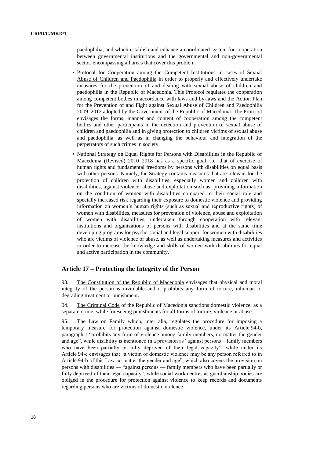paedophilia, and which establish and enhance a coordinated system for cooperation between governmental institutions and the governmental and non-governmental sector, encompassing all areas that cover this problem.

- Protocol for Cooperation among the Competent Institutions in cases of Sexual Abuse of Children and Paedophilia in order to properly and effectively undertake measures for the prevention of and dealing with sexual abuse of children and paedophilia in the Republic of Macedonia. This Protocol regulates the cooperation among competent bodies in accordance with laws and by-laws and the Action Plan for the Prevention of and Fight against Sexual Abuse of Children and Paedophilia 2009–2012 adopted by the Government of the Republic of Macedonia. The Protocol envisages the forms, manner and content of cooperation among the competent bodies and other participants in the detection and prevention of sexual abuse of children and paedophilia and in giving protection to children victims of sexual abuse and paedophilia, as well as in changing the behaviour and integration of the perpetrators of such crimes in society.
- National Strategy on Equal Rights for Persons with Disabilities in the Republic of Macedonia (Revised) 2010–2018 has as a specific goal, i.e. that of exercise of human rights and fundamental freedoms by persons with disabilities on equal basis with other persons. Namely, the Strategy contains measures that are relevant for the protection of children with disabilities, especially women and children with disabilities, against violence, abuse and exploitation such as: providing information on the condition of women with disabilities compared to their social role and specially increased risk regarding their exposure to domestic violence and providing information on women's human rights (such as sexual and reproductive rights) of women with disabilities, measures for prevention of violence, abuse and exploitation of women with disabilities, undertaken through cooperation with relevant institutions and organizations of persons with disabilities and at the same time developing programs for psycho-social and legal support for women with disabilities who are victims of violence or abuse, as well as undertaking measures and activities in order to increase the knowledge and skills of women with disabilities for equal and active participation in the community.

#### **Article 17 – Protecting the Integrity of the Person**

93. The Constitution of the Republic of Macedonia envisages that physical and moral integrity of the person is inviolable and it prohibits any form of torture, inhuman or degrading treatment or punishment.

94. The Criminal Code of the Republic of Macedonia sanctions domestic violence, as a separate crime, while foreseeing punishments for all forms of torture, violence or abuse.

95. The Law on Family which, inter alia, regulates the procedure for imposing a temporary measure for protection against domestic violence, under its Article 94-b, paragraph 1 "prohibits any form of violence among family members, no matter the gender and age", while disability is mentioned in a provision as "against persons – family members who have been partially or fully deprived of their legal capacity", while under its Article 94-c envisages that "a victim of domestic violence may be any person referred to in Article 94-b of this Law no matter the gender and age", which also covers the provision on persons with disabilities — "against persons — family members who have been partially or fully deprived of their legal capacity", while social work centres as guardianship bodies are obliged in the procedure for protection against violence to keep records and documents regarding persons who are victims of domestic violence.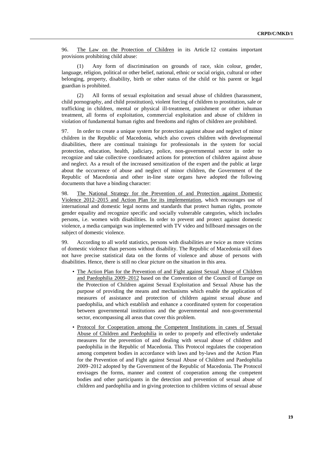96. The Law on the Protection of Children in its Article 12 contains important provisions prohibiting child abuse:

(1) Any form of discrimination on grounds of race, skin colour, gender, language, religion, political or other belief, national, ethnic or social origin, cultural or other belonging, property, disability, birth or other status of the child or his parent or legal guardian is prohibited.

(2) All forms of sexual exploitation and sexual abuse of children (harassment, child pornography, and child prostitution), violent forcing of children to prostitution, sale or trafficking in children, mental or physical ill-treatment, punishment or other inhuman treatment, all forms of exploitation, commercial exploitation and abuse of children in violation of fundamental human rights and freedoms and rights of children are prohibited.

97. In order to create a unique system for protection against abuse and neglect of minor children in the Republic of Macedonia, which also covers children with developmental disabilities, there are continual trainings for professionals in the system for social protection, education, health, judiciary, police, non-governmental sector in order to recognize and take collective coordinated actions for protection of children against abuse and neglect. As a result of the increased sensitization of the expert and the public at large about the occurrence of abuse and neglect of minor children, the Government of the Republic of Macedonia and other in-line state organs have adopted the following documents that have a binding character:

98. The National Strategy for the Prevention of and Protection against Domestic Violence 2012–2015 and Action Plan for its implementation, which encourages use of international and domestic legal norms and standards that protect human rights, promote gender equality and recognize specific and socially vulnerable categories, which includes persons, i.e. women with disabilities. In order to prevent and protect against domestic violence, a media campaign was implemented with TV video and billboard messages on the subject of domestic violence.

99. According to all world statistics, persons with disabilities are twice as more victims of domestic violence than persons without disability. The Republic of Macedonia still does not have precise statistical data on the forms of violence and abuse of persons with disabilities. Hence, there is still no clear picture on the situation in this area.

- The Action Plan for the Prevention of and Fight against Sexual Abuse of Children and Paedophilia 2009–2012 based on the Convention of the Council of Europe on the Protection of Children against Sexual Exploitation and Sexual Abuse has the purpose of providing the means and mechanisms which enable the application of measures of assistance and protection of children against sexual abuse and paedophilia, and which establish and enhance a coordinated system for cooperation between governmental institutions and the governmental and non-governmental sector, encompassing all areas that cover this problem.
- Protocol for Cooperation among the Competent Institutions in cases of Sexual Abuse of Children and Paedophilia in order to properly and effectively undertake measures for the prevention of and dealing with sexual abuse of children and paedophilia in the Republic of Macedonia. This Protocol regulates the cooperation among competent bodies in accordance with laws and by-laws and the Action Plan for the Prevention of and Fight against Sexual Abuse of Children and Paedophilia 2009–2012 adopted by the Government of the Republic of Macedonia. The Protocol envisages the forms, manner and content of cooperation among the competent bodies and other participants in the detection and prevention of sexual abuse of children and paedophilia and in giving protection to children victims of sexual abuse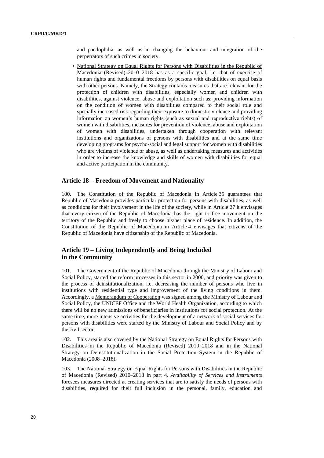and paedophilia, as well as in changing the behaviour and integration of the perpetrators of such crimes in society.

• National Strategy on Equal Rights for Persons with Disabilities in the Republic of Macedonia (Revised) 2010–2018 has as a specific goal, i.e. that of exercise of human rights and fundamental freedoms by persons with disabilities on equal basis with other persons. Namely, the Strategy contains measures that are relevant for the protection of children with disabilities, especially women and children with disabilities, against violence, abuse and exploitation such as: providing information on the condition of women with disabilities compared to their social role and specially increased risk regarding their exposure to domestic violence and providing information on women's human rights (such as sexual and reproductive rights) of women with disabilities, measures for prevention of violence, abuse and exploitation of women with disabilities, undertaken through cooperation with relevant institutions and organizations of persons with disabilities and at the same time developing programs for psycho-social and legal support for women with disabilities who are victims of violence or abuse, as well as undertaking measures and activities in order to increase the knowledge and skills of women with disabilities for equal and active participation in the community.

#### **Article 18 – Freedom of Movement and Nationality**

100. The Constitution of the Republic of Macedonia in Article 35 guarantees that Republic of Macedonia provides particular protection for persons with disabilities, as well as conditions for their involvement in the life of the society, while in Article 27 it envisages that every citizen of the Republic of Macedonia has the right to free movement on the territory of the Republic and freely to choose his/her place of residence. In addition, the Constitution of the Republic of Macedonia in Article 4 envisages that citizens of the Republic of Macedonia have citizenship of the Republic of Macedonia.

## **Article 19 – Living Independently and Being Included in the Community**

101. The Government of the Republic of Macedonia through the Ministry of Labour and Social Policy, started the reform processes in this sector in 2000, and priority was given to the process of deinstitutionalization, i.e. decreasing the number of persons who live in institutions with residential type and improvement of the living conditions in them. Accordingly, a Memorandum of Cooperation was signed among the Ministry of Labour and Social Policy, the UNICEF Office and the World Health Organization, according to which there will be no new admissions of beneficiaries in institutions for social protection. At the same time, more intensive activities for the development of a network of social services for persons with disabilities were started by the Ministry of Labour and Social Policy and by the civil sector.

102. This area is also covered by the National Strategy on Equal Rights for Persons with Disabilities in the Republic of Macedonia (Revised) 2010–2018 and in the National Strategy on Deinstitutionalization in the Social Protection System in the Republic of Macedonia (2008–2018).

103. The National Strategy on Equal Rights for Persons with Disabilities in the Republic of Macedonia (Revised) 2010–2018 in part 4. *Availability of Services and Instruments*  foresees measures directed at creating services that are to satisfy the needs of persons with disabilities, required for their full inclusion in the personal, family, education and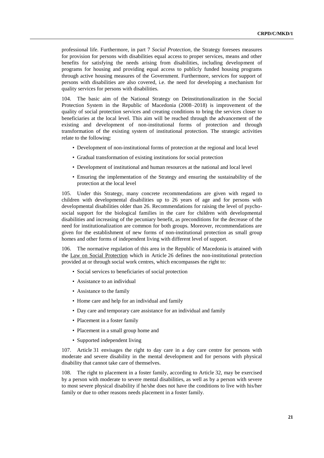professional life. Furthermore, in part 7 *Social Protection,* the Strategy foresees measures for provision for persons with disabilities equal access to proper services, means and other benefits for satisfying the needs arising from disabilities, including development of programs for housing and providing equal access to publicly funded housing programs through active housing measures of the Government. Furthermore, services for support of persons with disabilities are also covered, i.e. the need for developing a mechanism for quality services for persons with disabilities.

104. The basic aim of the National Strategy on Deinstitutionalization in the Social Protection System in the Republic of Macedonia (2008–2018) is improvement of the quality of social protection services and creating conditions to bring the services closer to beneficiaries at the local level. This aim will be reached through the advancement of the existing and development of non-institutional forms of protection and through transformation of the existing system of institutional protection. The strategic activities relate to the following:

- Development of non-institutional forms of protection at the regional and local level
- Gradual transformation of existing institutions for social protection
- Development of institutional and human resources at the national and local level
- Ensuring the implementation of the Strategy and ensuring the sustainability of the protection at the local level

105. Under this Strategy, many concrete recommendations are given with regard to children with developmental disabilities up to 26 years of age and for persons with developmental disabilities older than 26. Recommendations for raising the level of psychosocial support for the biological families in the care for children with developmental disabilities and increasing of the pecuniary benefit, as preconditions for the decrease of the need for institutionalization are common for both groups. Moreover, recommendations are given for the establishment of new forms of non-institutional protection as small group homes and other forms of independent living with different level of support.

The normative regulation of this area in the Republic of Macedonia is attained with the Law on Social Protection which in Article 26 defines the non-institutional protection provided at or through social work centres, which encompasses the right to:

- Social services to beneficiaries of social protection
- Assistance to an individual
- Assistance to the family
- Home care and help for an individual and family
- Day care and temporary care assistance for an individual and family
- Placement in a foster family
- Placement in a small group home and
- Supported independent living

107. Article 31 envisages the right to day care in a day care centre for persons with moderate and severe disability in the mental development and for persons with physical disability that cannot take care of themselves.

108. The right to placement in a foster family, according to Article 32, may be exercised by a person with moderate to severe mental disabilities, as well as by a person with severe to most severe physical disability if he/she does not have the conditions to live with his/her family or due to other reasons needs placement in a foster family.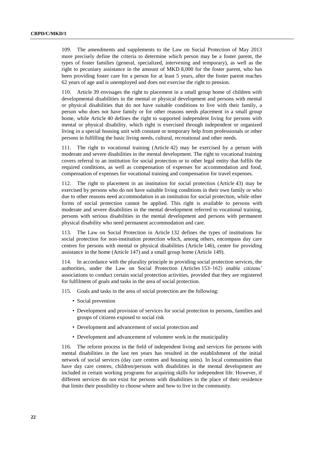109. The amendments and supplements to the Law on Social Protection of May 2013 more precisely define the criteria to determine which person may be a foster parent, the types of foster families (general, specialized, intervening and temporary), as well as the right to pecuniary assistance in the amount of MKD 8,000 for the foster parent, who has been providing foster care for a person for at least 5 years, after the foster parent reaches 62 years of age and is unemployed and does not exercise the right to pension.

110. Article 39 envisages the right to placement in a small group home of children with developmental disabilities in the mental or physical development and persons with mental or physical disabilities that do not have suitable conditions to live with their family, a person who does not have family or for other reasons needs placement in a small group home, while Article 40 defines the right to supported independent living for persons with mental or physical disability, which right is exercised through independent or organized living in a special housing unit with constant or temporary help from professionals or other persons in fulfilling the basic living needs, cultural, recreational and other needs.

111. The right to vocational training (Article 42) may be exercised by a person with moderate and severe disabilities in the mental development. The right to vocational training covers referral to an institution for social protection or to other legal entity that fulfils the required conditions, as well as compensation of expenses for accommodation and food, compensation of expenses for vocational training and compensation for travel expenses.

112. The right to placement in an institution for social protection (Article 43) may be exercised by persons who do not have suitable living conditions in their own family or who due to other reasons need accommodation in an institution for social protection, while other forms of social protection cannot be applied. This right is available to persons with moderate and severe disabilities in the mental development referred to vocational training, persons with serious disabilities in the mental development and persons with permanent physical disability who need permanent accommodation and care.

113. The Law on Social Protection in Article 132 defines the types of institutions for social protection for non-institution protection which, among others, encompass day care centres for persons with mental or physical disabilities (Article 146), centre for providing assistance in the home (Article 147) and a small group home (Article 149).

114. In accordance with the plurality principle in providing social protection services, the authorities, under the Law on Social Protection (Articles 153–162) enable citizens' associations to conduct certain social protection activities, provided that they are registered for fulfilment of goals and tasks in the area of social protection.

- 115. Goals and tasks in the area of social protection are the following:
	- Social prevention
	- Development and provision of services for social protection to persons, families and groups of citizens exposed to social risk
	- Development and advancement of social protection and
	- Development and advancement of volunteer work in the municipality

116. The reform process in the field of independent living and services for persons with mental disabilities in the last ten years has resulted in the establishment of the initial network of social services (day care centres and housing units). In local communities that have day care centres, children/persons with disabilities in the mental development are included in certain working programs for acquiring skills for independent life. However, if different services do not exist for persons with disabilities in the place of their residence that limits their possibility to choose where and how to live in the community.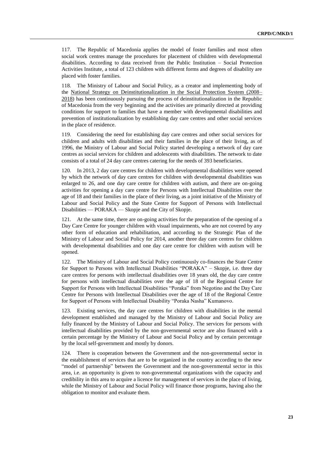117. The Republic of Macedonia applies the model of foster families and most often social work centres manage the procedures for placement of children with developmental disabilities. According to data received from the Public Institution – Social Protection Activities Institute, a total of 123 children with different forms and degrees of disability are placed with foster families.

118. The Ministry of Labour and Social Policy, as a creator and implementing body of the National Strategy on Deinstitutionalization in the Social Protection System (2008– 2018) has been continuously pursuing the process of deinstitutionalization in the Republic of Macedonia from the very beginning and the activities are primarily directed at providing conditions for support to families that have a member with developmental disabilities and prevention of institutionalization by establishing day care centres and other social services in the place of residence.

119. Considering the need for establishing day care centres and other social services for children and adults with disabilities and their families in the place of their living, as of 1996, the Ministry of Labour and Social Policy started developing a network of day care centres as social services for children and adolescents with disabilities. The network to date consists of a total of 24 day care centres catering for the needs of 393 beneficiaries.

120. In 2013, 2 day care centres for children with developmental disabilities were opened by which the network of day care centres for children with developmental disabilities was enlarged to 26, and one day care centre for children with autism, and there are on-going activities for opening a day care centre for Persons with Intellectual Disabilities over the age of 18 and their families in the place of their living, as a joint initiative of the Ministry of Labour and Social Policy and the State Centre for Support of Persons with Intellectual Disabilities — PORAKA — Skopje and the City of Skopje.

121. At the same time, there are on-going activities for the preparation of the opening of a Day Care Centre for younger children with visual impairments, who are not covered by any other form of education and rehabilitation, and according to the Strategic Plan of the Ministry of Labour and Social Policy for 2014, another three day care centres for children with developmental disabilities and one day care centre for children with autism will be opened.

122. The Ministry of Labour and Social Policy continuously co-finances the State Centre for Support to Persons with Intellectual Disabilities "PORAKA" – Skopje, i.e. three day care centres for persons with intellectual disabilities over 18 years old, the day care centre for persons with intellectual disabilities over the age of 18 of the Regional Centre for Support for Persons with Intellectual Disabilities "Poraka" from Negotino and the Day Care Centre for Persons with Intellectual Disabilities over the age of 18 of the Regional Centre for Support of Persons with Intellectual Disability "Poraka Nasha" Kumanovo.

Existing services, the day care centres for children with disabilities in the mental development established and managed by the Ministry of Labour and Social Policy are fully financed by the Ministry of Labour and Social Policy. The services for persons with intellectual disabilities provided by the non-governmental sector are also financed with a certain percentage by the Ministry of Labour and Social Policy and by certain percentage by the local self-government and mostly by donors.

124. There is cooperation between the Government and the non-governmental sector in the establishment of services that are to be organized in the country according to the new "model of partnership" between the Government and the non-governmental sector in this area, i.e. an opportunity is given to non-governmental organizations with the capacity and credibility in this area to acquire a licence for management of services in the place of living, while the Ministry of Labour and Social Policy will finance those programs, having also the obligation to monitor and evaluate them.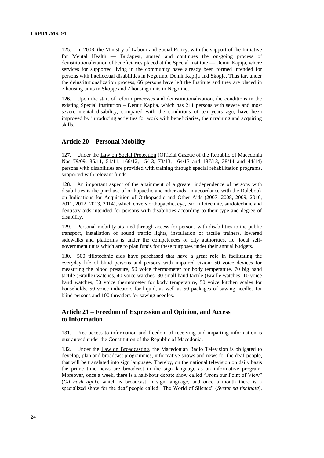125. In 2008, the Ministry of Labour and Social Policy, with the support of the Initiative for Mental Health — Budapest, started and continues the on-going process of deinstitutionalization of beneficiaries placed at the Special Institute — Demir Kapija, where services for supported living in the community have already been formed intended for persons with intellectual disabilities in Negotino, Demir Kapija and Skopje. Thus far, under the deinstitutionalization process, 66 persons have left the Institute and they are placed in 7 housing units in Skopje and 7 housing units in Negotino.

126. Upon the start of reform processes and deinstitutionalization, the conditions in the existing Special Institution – Demir Kapija, which has 211 persons with severe and most severe mental disability, compared with the conditions of ten years ago, have been improved by introducing activities for work with beneficiaries, their training and acquiring skills.

## **Article 20 – Personal Mobility**

127. Under the Law on Social Protection (Official Gazette of the Republic of Macedonia Nos. 79/09, 36/11, 51/11, 166/12, 15/13, 73/13, 164/13 and 187/13, 38/14 and 44/14) persons with disabilities are provided with training through special rehabilitation programs, supported with relevant funds.

128. An important aspect of the attainment of a greater independence of persons with disabilities is the purchase of orthopaedic and other aids, in accordance with the Rulebook on Indications for Acquisition of Orthopaedic and Other Aids (2007, 2008, 2009, 2010, 2011, 2012, 2013, 2014), which covers orthopaedic, eye, ear, tiflotechnic, surdotechnic and dentistry aids intended for persons with disabilities according to their type and degree of disability.

129. Personal mobility attained through access for persons with disabilities to the public transport, installation of sound traffic lights, installation of tactile trainers, lowered sidewalks and platforms is under the competences of city authorities, i.e. local selfgovernment units which are to plan funds for these purposes under their annual budgets.

130. 500 tiflotechnic aids have purchased that have a great role in facilitating the everyday life of blind persons and persons with impaired vision: 50 voice devices for measuring the blood pressure, 50 voice thermometer for body temperature, 70 big hand tactile (Braille) watches, 40 voice watches, 30 small hand tactile (Braille watches, 10 voice hand watches, 50 voice thermometer for body temperature, 50 voice kitchen scales for households, 50 voice indicators for liquid, as well as 50 packages of sawing needles for blind persons and 100 threaders for sawing needles.

## **Article 21 – Freedom of Expression and Opinion, and Access to Information**

131. Free access to information and freedom of receiving and imparting information is guaranteed under the Constitution of the Republic of Macedonia.

132. Under the Law on Broadcasting, the Macedonian Radio Television is obligated to develop, plan and broadcast programmes, informative shows and news for the deaf people, that will be translated into sign language. Thereby, on the national television on daily basis the prime time news are broadcast in the sign language as an informative program. Moreover, once a week, there is a half-hour debate show called "From our Point of View" (*Od nash agol*), which is broadcast in sign language, and once a month there is a specialized show for the deaf people called "The World of Silence" (*Svetot na tishinata*).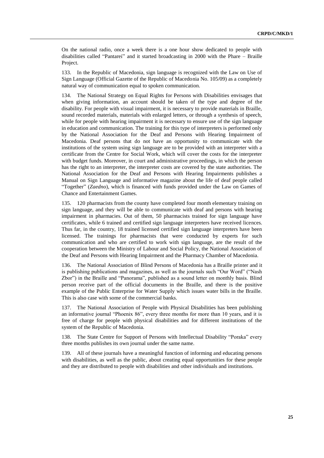On the national radio, once a week there is a one hour show dedicated to people with disabilities called "Pantarei" and it started broadcasting in 2000 with the Phare – Braille Project.

133. In the Republic of Macedonia, sign language is recognized with the Law on Use of Sign Language (Official Gazette of the Republic of Macedonia No. 105/09) as a completely natural way of communication equal to spoken communication.

134. The National Strategy on Equal Rights for Persons with Disabilities envisages that when giving information, an account should be taken of the type and degree of the disability. For people with visual impairment, it is necessary to provide materials in Braille, sound recorded materials, materials with enlarged letters, or through a synthesis of speech, while for people with hearing impairment it is necessary to ensure use of the sign language in education and communication. The training for this type of interpreters is performed only by the National Association for the Deaf and Persons with Hearing Impairment of Macedonia. Deaf persons that do not have an opportunity to communicate with the institutions of the system using sign language are to be provided with an interpreter with a certificate from the Centre for Social Work, which will cover the costs for the interpreter with budget funds. Moreover, in court and administrative proceedings, in which the person has the right to an interpreter, the interpreter costs are covered by the state authorities. The National Association for the Deaf and Persons with Hearing Impairments publishes a Manual on Sign Language and informative magazine about the life of deaf people called "Together" (*Zaedno*), which is financed with funds provided under the Law on Games of Chance and Entertainment Games.

135. 120 pharmacists from the county have completed four month elementary training on sign language, and they will be able to communicate with deaf and persons with hearing impairment in pharmacies. Out of them, 50 pharmacists trained for sign language have certificates, while 6 trained and certified sign language interpreters have received licences. Thus far, in the country, 18 trained licensed certified sign language interpreters have been licensed. The trainings for pharmacists that were conducted by experts for such communication and who are certified to work with sign language, are the result of the cooperation between the Ministry of Labour and Social Policy, the National Association of the Deaf and Persons with Hearing Impairment and the Pharmacy Chamber of Macedonia.

136. The National Association of Blind Persons of Macedonia has a Braille printer and it is publishing publications and magazines, as well as the journals such "Our Word" ("Nash Zbor") in the Braille and "Panorama", published as a sound letter on monthly basis. Blind person receive part of the official documents in the Braille, and there is the positive example of the Public Enterprise for Water Supply which issues water bills in the Braille. This is also case with some of the commercial banks.

137. The National Association of People with Physical Disabilities has been publishing an informative journal "Phoenix 86", every three months for more than 10 years, and it is free of charge for people with physical disabilities and for different institutions of the system of the Republic of Macedonia.

138. The State Centre for Support of Persons with Intellectual Disability "Poraka" every three months publishes its own journal under the same name.

139. All of these journals have a meaningful function of informing and educating persons with disabilities, as well as the public, about creating equal opportunities for these people and they are distributed to people with disabilities and other individuals and institutions.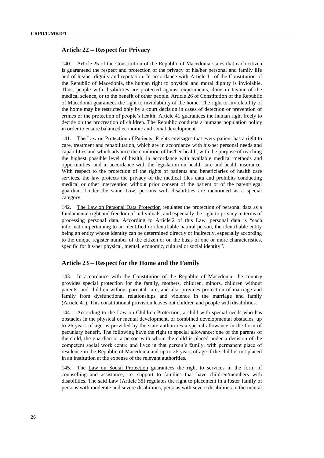## **Article 22 – Respect for Privacy**

140. Article 25 of the Constitution of the Republic of Macedonia states that each citizen is guaranteed the respect and protection of the privacy of his/her personal and family life and of his/her dignity and reputation. In accordance with Article 11 of the Constitution of the Republic of Macedonia, the human right to physical and moral dignity is inviolable. Thus, people with disabilities are protected against experiments, done in favour of the medical science, or to the benefit of other people. Article 26 of Constitution of the Republic of Macedonia guarantees the right to inviolability of the home. The right to inviolability of the home may be restricted only by a court decision in cases of detection or prevention of crimes or the protection of people's health. Article 41 guarantees the human right freely to decide on the procreation of children. The Republic conducts a humane population policy in order to ensure balanced economic and social development.

141. The Law on Protection of Patients' Rights envisages that every patient has a right to care, treatment and rehabilitation, which are in accordance with his/her personal needs and capabilities and which advance the condition of his/her health, with the purpose of reaching the highest possible level of health, in accordance with available medical methods and opportunities, and in accordance with the legislation on health care and health insurance. With respect to the protection of the rights of patients and beneficiaries of health care services, the law protects the privacy of the medical files data and prohibits conducting medical or other intervention without prior consent of the patient or of the parent/legal guardian. Under the same Law, persons with disabilities are mentioned as a special category.

142. The Law on Personal Data Protection regulates the protection of personal data as a fundamental right and freedom of individuals, and especially the right to privacy in terms of processing personal data. According to Article 2 of this Law, personal data is "each information pertaining to an identified or identifiable natural person, the identifiable entity being an entity whose identity can be determined directly or indirectly, especially according to the unique register number of the citizen or on the basis of one or more characteristics, specific for his/her physical, mental, economic, cultural or social identity".

#### **Article 23 – Respect for the Home and the Family**

143. In accordance with the Constitution of the Republic of Macedonia, the country provides special protection for the family, mothers, children, minors, children without parents, and children without parental care, and also provides protection of marriage and family from dysfunctional relationships and violence in the marriage and family (Article 41). This constitutional provision leaves out children and people with disabilities.

144. According to the Law on Children Protection, a child with special needs who has obstacles in the physical or mental development, or combined developmental obstacles, up to 26 years of age, is provided by the state authorities a special allowance in the form of pecuniary benefit. The following have the right to special allowance: one of the parents of the child, the guardian or a person with whom the child is placed under a decision of the competent social work centre and lives in that person's family, with permanent place of residence in the Republic of Macedonia and up to 26 years of age if the child is not placed in an institution at the expense of the relevant authorities.

145. The Law on Social Protection guarantees the right to services in the form of counselling and assistance, i.e. support to families that have children/members with disabilities. The said Law (Article 35) regulates the right to placement in a foster family of persons with moderate and severe disabilities, persons with severe disabilities in the mental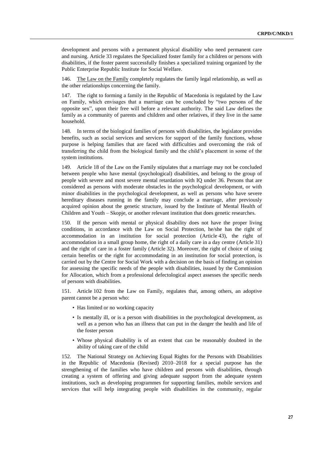development and persons with a permanent physical disability who need permanent care and nursing. Article 33 regulates the Specialized foster family for a children or persons with disabilities, if the foster parent successfully finishes a specialized training organized by the Public Enterprise Republic Institute for Social Welfare.

146. The Law on the Family completely regulates the family legal relationship, as well as the other relationships concerning the family.

147. The right to forming a family in the Republic of Macedonia is regulated by the Law on Family, which envisages that a marriage can be concluded by "two persons of the opposite sex", upon their free will before a relevant authority. The said Law defines the family as a community of parents and children and other relatives, if they live in the same household.

148. In terms of the biological families of persons with disabilities, the legislator provides benefits, such as social services and services for support of the family functions, whose purpose is helping families that are faced with difficulties and overcoming the risk of transferring the child from the biological family and the child's placement in some of the system institutions.

149. Article 18 of the Law on the Family stipulates that a marriage may not be concluded between people who have mental (psychological) disabilities, and belong to the group of people with severe and most severe mental retardation with IQ under 36. Persons that are considered as persons with moderate obstacles in the psychological development, or with minor disabilities in the psychological development, as well as persons who have severe hereditary diseases running in the family may conclude a marriage, after previously acquired opinion about the genetic structure, issued by the Institute of Mental Health of Children and Youth – Skopje, or another relevant institution that does genetic researches.

150. If the person with mental or physical disability does not have the proper living conditions, in accordance with the Law on Social Protection, he/she has the right of accommodation in an institution for social protection (Article 43), the right of accommodation in a small group home, the right of a daily care in a day centre (Article 31) and the right of care in a foster family (Article 32). Moreover, the right of choice of using certain benefits or the right for accommodating in an institution for social protection, is carried out by the Centre for Social Work with a decision on the basis of finding an opinion for assessing the specific needs of the people with disabilities, issued by the Commission for Allocation, which from a professional defectological aspect assesses the specific needs of persons with disabilities.

151. Article 102 from the Law on Family, regulates that, among others, an adoptive parent cannot be a person who:

- Has limited or no working capacity
- Is mentally ill, or is a person with disabilities in the psychological development, as well as a person who has an illness that can put in the danger the health and life of the foster person
- Whose physical disability is of an extent that can be reasonably doubted in the ability of taking care of the child

152. The National Strategy on Achieving Equal Rights for the Persons with Disabilities in the Republic of Macedonia (Revised) 2010–2018 for a special purpose has the strengthening of the families who have children and persons with disabilities, through creating a system of offering and giving adequate support from the adequate system institutions, such as developing programmes for supporting families, mobile services and services that will help integrating people with disabilities in the community, regular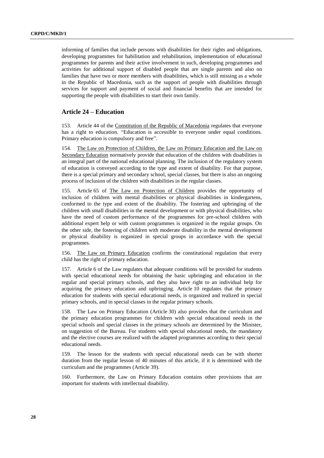informing of families that include persons with disabilities for their rights and obligations, developing programmes for habilitation and rehabilitation, implementation of educational programmes for parents and their active involvement in such, developing programmes and activities for additional support of disabled people that are single parents and also on families that have two or more members with disabilities, which is still missing as a whole in the Republic of Macedonia, such as the support of people with disabilities through services for support and payment of social and financial benefits that are intended for supporting the people with disabilities to start their own family.

### **Article 24 – Education**

153. Article 44 of the Constitution of the Republic of Macedonia regulates that everyone has a right to education. "Education is accessible to everyone under equal conditions. Primary education is compulsory and free".

154. The Law on Protection of Children, the Law on Primary Education and the Law on Secondary Education normatively provide that education of the children with disabilities is an integral part of the national educational planning. The inclusion of the regulatory system of education is conveyed according to the type and extent of disability. For that purpose, there is a special primary and secondary school, special classes, but there is also an ongoing process of inclusion of the children with disabilities in the regular classes.

Article 65 of The Law on Protection of Children provides the opportunity of inclusion of children with mental disabilities or physical disabilities in kindergartens, conformed to the type and extent of the disability. The fostering and upbringing of the children with small disabilities in the mental development or with physical disabilities, who have the need of custom performance of the programmes for pre-school children with additional expert help or with custom programmes is organized in the regular groups. On the other side, the fostering of children with moderate disability in the mental development or physical disability is organized in special groups in accordance with the special programmes.

156. The Law on Primary Education confirms the constitutional regulation that every child has the right of primary education.

157. Article 6 of the Law regulates that adequate conditions will be provided for students with special educational needs for obtaining the basic upbringing and education in the regular and special primary schools, and they also have right to an individual help for acquiring the primary education and upbringing. Article 10 regulates that the primary education for students with special educational needs, is organized and realized in special primary schools, and in special classes in the regular primary schools.

158. The Law on Primary Education (Article 30) also provides that the curriculum and the primary education programmes for children with special educational needs in the special schools and special classes in the primary schools are determined by the Minister, on suggestion of the Bureau. For students with special educational needs, the mandatory and the elective courses are realized with the adapted programmes according to their special educational needs.

159. The lesson for the students with special educational needs can be with shorter duration from the regular lesson of 40 minutes of this article, if it is determined with the curriculum and the programmes (Article 39).

160. Furthermore, the Law on Primary Education contains other provisions that are important for students with intellectual disability.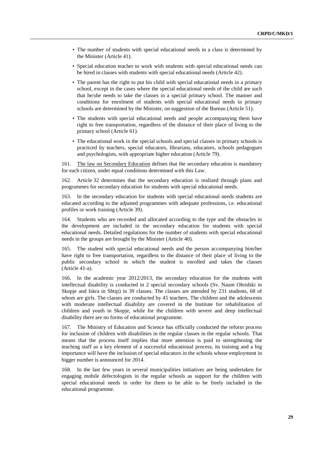- The number of students with special educational needs in a class is determined by the Minister (Article 41).
- Special education teacher to work with students with special educational needs can be hired in classes with students with special educational needs (Article 42).
- The parent has the right to put his child with special educational needs in a primary school, except in the cases where the special educational needs of the child are such that he/she needs to take the classes in a special primary school. The manner and conditions for enrolment of students with special educational needs in primary schools are determined by the Minister, on suggestion of the Bureau (Article 51).
- The students with special educational needs and people accompanying them have right to free transportation, regardless of the distance of their place of living to the primary school (Article 61).
- The educational work in the special schools and special classes in primary schools is practiced by teachers, special educators, librarians, educators, schools pedagogues and psychologists, with appropriate higher education (Article 79).

161. The law on Secondary Education defines that the secondary education is mandatory for each citizen, under equal conditions determined with this Law.

162. Article 32 determines that the secondary education is realized through plans and programmes for secondary education for students with special educational needs.

163. In the secondary education for students with special educational needs students are educated according to the adjusted programmes with adequate professions, i.e. educational profiles or work training (Article 39).

164. Students who are recorded and allocated according to the type and the obstacles in the development are included in the secondary education for students with special educational needs. Detailed regulations for the number of students with special educational needs in the groups are brought by the Minister (Article 40).

165. The student with special educational needs and the person accompanying him/her have right to free transportation, regardless to the distance of their place of living to the public secondary school in which the student is enrolled and takes the classes (Article 41-a).

166. In the academic year 2012/2013, the secondary education for the students with intellectual disability is conducted in 2 special secondary schools (Sv. Naum Ohridski in Skopje and Iskra in Shtip) in 39 classes. The classes are attended by 231 students, 68 of whom are girls. The classes are conducted by 45 teachers. The children and the adolescents with moderate intellectual disability are covered in the Institute for rehabilitation of children and youth in Skopje, while for the children with severe and deep intellectual disability there are no forms of educational programme.

167. The Ministry of Education and Science has officially conducted the reform process for inclusion of children with disabilities in the regular classes in the regular schools. That means that the process itself implies that more attention is paid to strengthening the teaching staff as a key element of a successful educational process, its training and a big importance will have the inclusion of special educators in the schools whose employment in bigger number is announced for 2014.

168. In the last few years in several municipalities initiatives are being undertaken for engaging mobile defectologists in the regular schools as support for the children with special educational needs in order for them to be able to be freely included in the educational programme.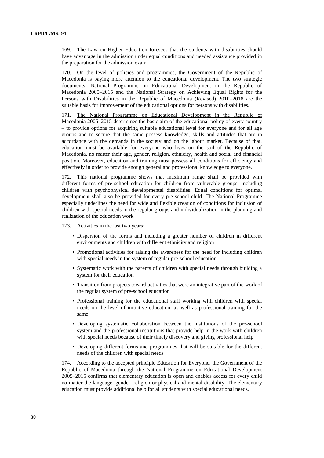169. The Law on Higher Education foresees that the students with disabilities should have advantage in the admission under equal conditions and needed assistance provided in the preparation for the admission exam.

170. On the level of policies and programmes, the Government of the Republic of Macedonia is paying more attention to the educational development. The two strategic documents: National Programme on Educational Development in the Republic of Macedonia 2005–2015 and the National Strategy on Achieving Equal Rights for the Persons with Disabilities in the Republic of Macedonia (Revised) 2010–2018 are the suitable basis for improvement of the educational options for persons with disabilities.

171. The National Programme on Educational Development in the Republic of Macedonia 2005–2015 determines the basic aim of the educational policy of every country – to provide options for acquiring suitable educational level for everyone and for all age groups and to secure that the same possess knowledge, skills and attitudes that are in accordance with the demands in the society and on the labour market. Because of that, education must be available for everyone who lives on the soil of the Republic of Macedonia, no matter their age, gender, religion, ethnicity, health and social and financial position. Moreover, education and training must possess all conditions for efficiency and effectively in order to provide enough general and professional knowledge to everyone.

172. This national programme shows that maximum range shall be provided with different forms of pre-school education for children from vulnerable groups, including children with psychophysical developmental disabilities. Equal conditions for optimal development shall also be provided for every pre-school child. The National Programme especially underlines the need for wide and flexible creation of conditions for inclusion of children with special needs in the regular groups and individualization in the planning and realization of the education work.

173. Activities in the last two years:

- Dispersion of the forms and including a greater number of children in different environments and children with different ethnicity and religion
- Promotional activities for raising the awareness for the need for including children with special needs in the system of regular pre-school education
- Systematic work with the parents of children with special needs through building a system for their education
- Transition from projects toward activities that were an integrative part of the work of the regular system of pre-school education
- Professional training for the educational staff working with children with special needs on the level of initiative education, as well as professional training for the same
- Developing systematic collaboration between the institutions of the pre-school system and the professional institutions that provide help in the work with children with special needs because of their timely discovery and giving professional help
- Developing different forms and programmes that will be suitable for the different needs of the children with special needs

174. According to the accepted principle Education for Everyone, the Government of the Republic of Macedonia through the National Programme on Educational Development 2005–2015 confirms that elementary education is open and enables access for every child no matter the language, gender, religion or physical and mental disability. The elementary education must provide additional help for all students with special educational needs.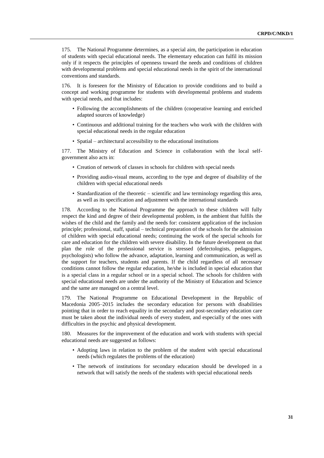175. The National Programme determines, as a special aim, the participation in education of students with special educational needs. The elementary education can fulfil its mission only if it respects the principles of openness toward the needs and conditions of children with developmental problems and special educational needs in the spirit of the international conventions and standards.

176. It is foreseen for the Ministry of Education to provide conditions and to build a concept and working programme for students with developmental problems and students with special needs, and that includes:

- Following the accomplishments of the children (cooperative learning and enriched adapted sources of knowledge)
- Continuous and additional training for the teachers who work with the children with special educational needs in the regular education
- Spatial architectural accessibility to the educational institutions

177. The Ministry of Education and Science in collaboration with the local selfgovernment also acts in:

- Creation of network of classes in schools for children with special needs
- Providing audio-visual means, according to the type and degree of disability of the children with special educational needs
- Standardization of the theoretic scientific and law terminology regarding this area, as well as its specification and adjustment with the international standards

178. According to the National Programme the approach to these children will fully respect the kind and degree of their developmental problem, in the ambient that fulfils the wishes of the child and the family and the needs for: consistent application of the inclusion principle; professional, staff, spatial – technical preparation of the schools for the admission of children with special educational needs; continuing the work of the special schools for care and education for the children with severe disability. In the future development on that plan the role of the professional service is stressed (defectologists, pedagogues, psychologists) who follow the advance, adaptation, learning and communication, as well as the support for teachers, students and parents. If the child regardless of all necessary conditions cannot follow the regular education, he/she is included in special education that is a special class in a regular school or in a special school. The schools for children with special educational needs are under the authority of the Ministry of Education and Science and the same are managed on a central level.

179. The National Programme on Educational Development in the Republic of Macedonia 2005–2015 includes the secondary education for persons with disabilities pointing that in order to reach equality in the secondary and post-secondary education care must be taken about the individual needs of every student, and especially of the ones with difficulties in the psychic and physical development.

180. Measures for the improvement of the education and work with students with special educational needs are suggested as follows:

- Adopting laws in relation to the problem of the student with special educational needs (which regulates the problems of the education)
- The network of institutions for secondary education should be developed in a network that will satisfy the needs of the students with special educational needs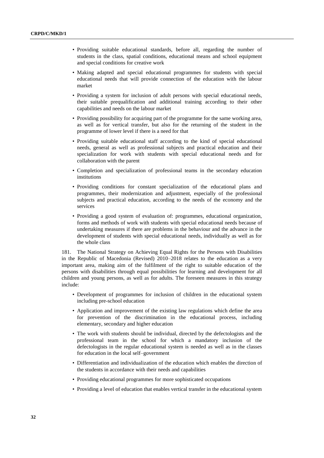- Providing suitable educational standards, before all, regarding the number of students in the class, spatial conditions, educational means and school equipment and special conditions for creative work
- Making adapted and special educational programmes for students with special educational needs that will provide connection of the education with the labour market
- Providing a system for inclusion of adult persons with special educational needs, their suitable prequalification and additional training according to their other capabilities and needs on the labour market
- Providing possibility for acquiring part of the programme for the same working area, as well as for vertical transfer, but also for the returning of the student in the programme of lower level if there is a need for that
- Providing suitable educational staff according to the kind of special educational needs, general as well as professional subjects and practical education and their specialization for work with students with special educational needs and for collaboration with the parent
- Completion and specialization of professional teams in the secondary education institutions
- Providing conditions for constant specialization of the educational plans and programmes, their modernization and adjustment, especially of the professional subjects and practical education, according to the needs of the economy and the services
- Providing a good system of evaluation of: programmes, educational organization, forms and methods of work with students with special educational needs because of undertaking measures if there are problems in the behaviour and the advance in the development of students with special educational needs, individually as well as for the whole class

181. The National Strategy on Achieving Equal Rights for the Persons with Disabilities in the Republic of Macedonia (Revised) 2010–2018 relates to the education as a very important area, making aim of the fulfilment of the right to suitable education of the persons with disabilities through equal possibilities for learning and development for all children and young persons, as well as for adults. The foreseen measures in this strategy include:

- Development of programmes for inclusion of children in the educational system including pre-school education
- Application and improvement of the existing law regulations which define the area for prevention of the discrimination in the educational process, including elementary, secondary and higher education
- The work with students should be individual, directed by the defectologists and the professional team in the school for which a mandatory inclusion of the defectologists in the regular educational system is needed as well as in the classes for education in the local self–government
- Differentiation and individualization of the education which enables the direction of the students in accordance with their needs and capabilities
- Providing educational programmes for more sophisticated occupations
- Providing a level of education that enables vertical transfer in the educational system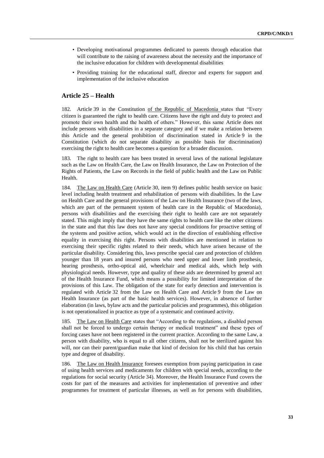- Developing motivational programmes dedicated to parents through education that will contribute to the raising of awareness about the necessity and the importance of the inclusive education for children with developmental disabilities
- Providing training for the educational staff, director and experts for support and implementation of the inclusive education

## **Article 25 – Health**

182. Article 39 in the Constitution of the Republic of Macedonia states that "Every citizen is guaranteed the right to health care. Citizens have the right and duty to protect and promote their own health and the health of others." However, this same Article does not include persons with disabilities in a separate category and if we make a relation between this Article and the general prohibition of discrimination stated in Article 9 in the Constitution (which do not separate disability as possible basis for discrimination) exercising the right to health care becomes a question for a broader discussion.

183. The right to health care has been treated in several laws of the national legislature such as the Law on Health Care, the Law on Health Insurance, the Law on Protection of the Rights of Patients, the Law on Records in the field of public health and the Law on Public Health.

184. The Law on Health Care (Article 30, item 9) defines public health service on basic level including health treatment and rehabilitation of persons with disabilities. In the Law on Health Care and the general provisions of the Law on Health Insurance (two of the laws, which are part of the permanent system of health care in the Republic of Macedonia), persons with disabilities and the exercising their right to health care are not separately stated. This might imply that they have the same rights to health care like the other citizens in the state and that this law does not have any special conditions for proactive setting of the systems and positive action, which would act in the direction of establishing effective equality in exercising this right. Persons with disabilities are mentioned in relation to exercising their specific rights related to their needs, which have arisen because of the particular disability. Considering this, laws prescribe special care and protection of children younger than 18 years and insured persons who need upper and lower limb prosthesis, hearing prosthesis, ortho-optical aid, wheelchair and medical aids, which help with physiological needs. However, type and quality of these aids are determined by general act of the Health Insurance Fund, which means a possibility for limited interpretation of the provisions of this Law. The obligation of the state for early detection and intervention is regulated with Article 32 from the Law on Health Care and Article 9 from the Law on Health Insurance (as part of the basic health services). However, in absence of further elaboration (in laws, bylaw acts and the particular policies and programmes), this obligation is not operationalized in practice as type of a systematic and continued activity.

185. The Law on Health Care states that "According to the regulations, a disabled person shall not be forced to undergo certain therapy or medical treatment" and these types of forcing cases have not been registered in the current practice. According to the same Law, a person with disability, who is equal to all other citizens, shall not be sterilized against his will, nor can their parent/guardian make that kind of decision for his child that has certain type and degree of disability.

186. The Law on Health Insurance foresees exemption from paying participation in case of using health services and medicaments for children with special needs, according to the regulations for social security (Article 34). Moreover, the Health Insurance Fund covers the costs for part of the measures and activities for implementation of preventive and other programmes for treatment of particular illnesses, as well as for persons with disabilities,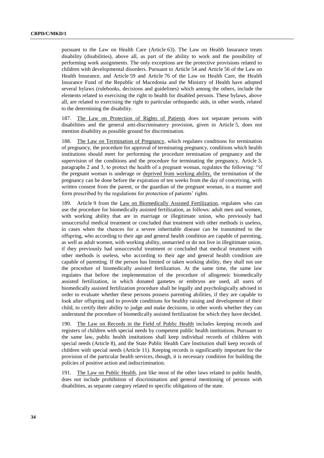pursuant to the Law on Health Care (Article 63). The Law on Health Insurance treats disability (disabilities), above all, as part of the ability to work and the possibility of performing work assignments. The only exceptions are the protective provisions related to children with developmental disorders. Pursuant to Article 54 and Article 56 of the Law on Health Insurance, and Article 59 and Article 76 of the Law on Health Care, the Health Insurance Fund of the Republic of Macedonia and the Ministry of Health have adopted several bylaws (rulebooks, decisions and guidelines) which among the others, include the elements related to exercising the right to health for disabled persons. These bylaws, above all, are related to exercising the right to particular orthopaedic aids, in other words, related to the determining the disability.

187. The Law on Protection of Rights of Patients does not separate persons with disabilities and the general anti-discriminatory provision, given in Article 5, does not mention disability as possible ground for discrimination.

188. The Law on Termination of Pregnancy, which regulates conditions for termination of pregnancy, the procedure for approval of terminating pregnancy, conditions which health institutions should meet for performing the procedure termination of pregnancy and the supervision of the conditions and the procedure for terminating the pregnancy, Article 3, paragraphs 2 and 3, to protect the health of a pregnant woman, regulates the following: "if the pregnant woman is underage or deprived from working ability, the termination of the pregnancy can be done before the expiration of ten weeks from the day of conceiving, with written consent from the parent, or the guardian of the pregnant woman, in a manner and form prescribed by the regulations for protection of patients' rights.

189. Article 9 from the Law on Biomedically Assisted Fertilization, regulates who can use the procedure for biomedically assisted fertilization, as follows: adult men and women, with working ability that are in marriage or illegitimate union, who previously had unsuccessful medical treatment or concluded that treatment with other methods is useless, in cases when the chances for a severe inheritable disease can be transmitted to the offspring, who according to their age and general health condition are capable of parenting, as well as adult women, with working ability, unmarried or do not live in illegitimate union, if they previously had unsuccessful treatment or concluded that medical treatment with other methods is useless, who according to their age and general health condition are capable of parenting. If the person has limited or taken working ability, they shall not use the procedure of biomedically assisted fertilization. At the same time, the same law regulates that before the implementation of the procedure of allogeneic biomedically assisted fertilization, in which donated gametes or embryos are used, all users of biomedically assisted fertilization procedure shall be legally and psychologically advised in order to evaluate whether these persons possess parenting abilities, if they are capable to look after offspring and to provide conditions for healthy raising and development of their child, to certify their ability to judge and make decisions, in other words whether they can understand the procedure of biomedically assisted fertilization for which they have decided.

190. The Law on Records in the Field of Public Health includes keeping records and registers of children with special needs by competent public health institutions. Pursuant to the same law, public health institutions shall keep individual records of children with special needs (Article 8), and the State Public Health Care Institution shall keep records of children with special needs (Article 11). Keeping records is significantly important for the provision of the particular health services, though, it is necessary condition for building the policies of positive action and indiscrimination.

191. The Law on Public Health, just like most of the other laws related to public health, does not include prohibition of discrimination and general mentioning of persons with disabilities, as separate category related to specific obligations of the state.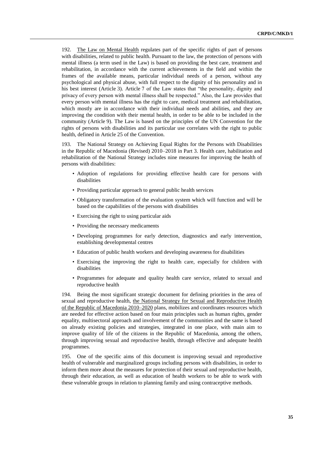192. The Law on Mental Health regulates part of the specific rights of part of persons with disabilities, related to public health. Pursuant to the law, the protection of persons with mental illness (a term used in the Law) is based on providing the best care, treatment and rehabilitation, in accordance with the current achievements in the field and within the frames of the available means, particular individual needs of a person, without any psychological and physical abuse, with full respect to the dignity of his personality and in his best interest (Article 3). Article 7 of the Law states that "the personality, dignity and privacy of every person with mental illness shall be respected." Also, the Law provides that every person with mental illness has the right to care, medical treatment and rehabilitation, which mostly are in accordance with their individual needs and abilities, and they are improving the condition with their mental health, in order to be able to be included in the community (Article 9). The Law is based on the principles of the UN Convention for the rights of persons with disabilities and its particular use correlates with the right to public health, defined in Article 25 of the Convention.

193. The National Strategy on Achieving Equal Rights for the Persons with Disabilities in the Republic of Macedonia (Revised) 2010–2018 in Part 3. Health care, habilitation and rehabilitation of the National Strategy includes nine measures for improving the health of persons with disabilities:

- Adoption of regulations for providing effective health care for persons with disabilities
- Providing particular approach to general public health services
- Obligatory transformation of the evaluation system which will function and will be based on the capabilities of the persons with disabilities
- Exercising the right to using particular aids
- Providing the necessary medicaments
- Developing programmes for early detection, diagnostics and early intervention, establishing developmental centres
- Education of public health workers and developing awareness for disabilities
- Exercising the improving the right to health care, especially for children with disabilities
- Programmes for adequate and quality health care service, related to sexual and reproductive health

194. Being the most significant strategic document for defining priorities in the area of sexual and reproductive health, the National Strategy for Sexual and Reproductive Health of the Republic of Macedonia 2010–2020 plans, mobilizes and coordinates resources which are needed for effective action based on four main principles such as human rights, gender equality, multisectoral approach and involvement of the communities and the same is based on already existing policies and strategies, integrated in one place, with main aim to improve quality of life of the citizens in the Republic of Macedonia, among the others, through improving sexual and reproductive health, through effective and adequate health programmes.

195. One of the specific aims of this document is improving sexual and reproductive health of vulnerable and marginalized groups including persons with disabilities, in order to inform them more about the measures for protection of their sexual and reproductive health, through their education, as well as education of health workers to be able to work with these vulnerable groups in relation to planning family and using contraceptive methods.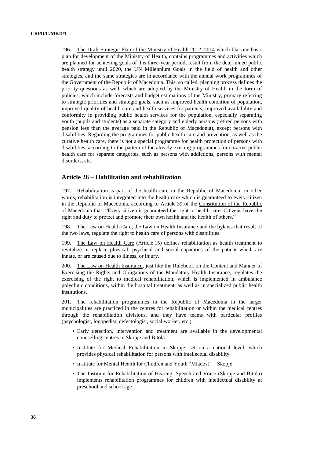196. The Draft Strategic Plan of the Ministry of Health 2012–2014 which like one basic plan for development of the Ministry of Health, contains programmes and activities which are planned for achieving goals of this three-year period, result from the determined public health strategy until 2020, the UN Millennium Goals in the field of health and other strategies, and the same strategies are in accordance with the annual work programmes of the Government of the Republic of Macedonia. This, so called, planning process defines the priority questions as well, which are adopted by the Ministry of Health in the form of policies, which include forecasts and budget estimations of the Ministry, primary referring to strategic priorities and strategic goals, such as improved health condition of population, improved quality of health care and health services for patients, improved availability and conformity in providing public health services for the population, especially separating youth (pupils and students) as a separate category and elderly persons (retired persons with pension less than the average paid in the Republic of Macedonia), except persons with disabilities. Regarding the programmes for public health care and prevention, as well as the curative health care, there is not a special programme for health protection of persons with disabilities, according to the pattern of the already existing programmes for curative public health care for separate categories, such as persons with addictions, persons with mental disorders, etc.

### **Article 26 – Habilitation and rehabilitation**

197. Rehabilitation is part of the health care in the Republic of Macedonia, in other words, rehabilitation is integrated into the health care which is guaranteed to every citizen in the Republic of Macedonia, according to Article 39 of the Constitution of the Republic of Macedonia that: "Every citizen is guaranteed the right to health care. Citizens have the right and duty to protect and promote their own health and the health of others."

198. The Law on Health Care, the Law on Health Insurance and the bylaws that result of the two laws, regulate the right to health care of persons with disabilities.

199. The Law on Health Care (Article 15) defines rehabilitation as health treatment to revitalize or replace physical, psychical and social capacities of the patient which are innate, or are caused due to illness, or injury.

200. The Law on Health Insurance, just like the Rulebook on the Content and Manner of Exercising the Rights and Obligations of the Mandatory Health Insurance, regulates the exercising of the right to medical rehabilitation, which is implemented in ambulance polyclinic conditions, within the hospital treatment, as well as in specialized public health institutions.

201. The rehabilitation programmes in the Republic of Macedonia in the larger municipalities are practiced in the centres for rehabilitation or within the medical centres through the rehabilitation divisions, and they have teams with particular profiles (psychologist, logopedist, defectologist, social worker, etc.):

- Early detection, intervention and treatment are available in the developmental counselling centres in Skopje and Bitola
- Institute for Medical Rehabilitation in Skopje, set on a national level, which provides physical rehabilitation for persons with intellectual disability
- Institute for Mental Health for Children and Youth "Mladost" Skopje
- The Institute for Rehabilitation of Hearing, Speech and Voice (Skopje and Bitola) implements rehabilitation programmes for children with intellectual disability at preschool and school age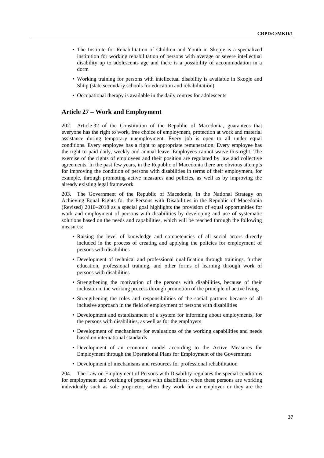- The Institute for Rehabilitation of Children and Youth in Skopje is a specialized institution for working rehabilitation of persons with average or severe intellectual disability up to adolescents age and there is a possibility of accommodation in a dorm
- Working training for persons with intellectual disability is available in Skopje and Shtip (state secondary schools for education and rehabilitation)
- Occupational therapy is available in the daily centres for adolescents

## **Article 27 – Work and Employment**

202. Article 32 of the Constitution of the Republic of Macedonia, guarantees that everyone has the right to work, free choice of employment, protection at work and material assistance during temporary unemployment. Every job is open to all under equal conditions. Every employee has a right to appropriate remuneration. Every employee has the right to paid daily, weekly and annual leave. Employees cannot waive this right. The exercise of the rights of employees and their position are regulated by law and collective agreements. In the past few years, in the Republic of Macedonia there are obvious attempts for improving the condition of persons with disabilities in terms of their employment, for example, through promoting active measures and policies, as well as by improving the already existing legal framework.

203. The Government of the Republic of Macedonia, in the National Strategy on Achieving Equal Rights for the Persons with Disabilities in the Republic of Macedonia (Revised) 2010–2018 as a special goal highlights the provision of equal opportunities for work and employment of persons with disabilities by developing and use of systematic solutions based on the needs and capabilities, which will be reached through the following measures:

- Raising the level of knowledge and competencies of all social actors directly included in the process of creating and applying the policies for employment of persons with disabilities
- Development of technical and professional qualification through trainings, further education, professional training, and other forms of learning through work of persons with disabilities
- Strengthening the motivation of the persons with disabilities, because of their inclusion in the working process through promotion of the principle of active living
- Strengthening the roles and responsibilities of the social partners because of all inclusive approach in the field of employment of persons with disabilities
- Development and establishment of a system for informing about employments, for the persons with disabilities, as well as for the employers
- Development of mechanisms for evaluations of the working capabilities and needs based on international standards
- Development of an economic model according to the Active Measures for Employment through the Operational Plans for Employment of the Government
- Development of mechanisms and resources for professional rehabilitation

204. The Law on Employment of Persons with Disability regulates the special conditions for employment and working of persons with disabilities: when these persons are working individually such as sole proprietor, when they work for an employer or they are the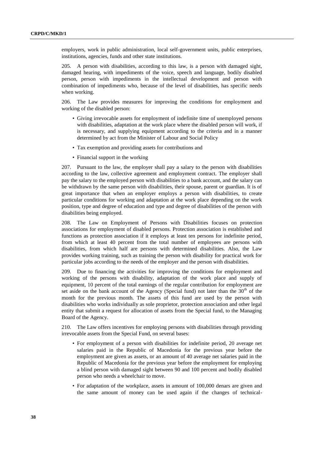employers, work in public administration, local self-government units, public enterprises, institutions, agencies, funds and other state institutions.

205. A person with disabilities, according to this law, is a person with damaged sight, damaged hearing, with impediments of the voice, speech and language, bodily disabled person, person with impediments in the intellectual development and person with combination of impediments who, because of the level of disabilities, has specific needs when working.

206. The Law provides measures for improving the conditions for employment and working of the disabled person:

- Giving irrevocable assets for employment of indefinite time of unemployed persons with disabilities, adaptation at the work place where the disabled person will work, if is necessary, and supplying equipment according to the criteria and in a manner determined by act from the Minister of Labour and Social Policy
- Tax exemption and providing assets for contributions and
- Financial support in the working

207. Pursuant to the law, the employer shall pay a salary to the person with disabilities according to the law, collective agreement and employment contract. The employer shall pay the salary to the employed person with disabilities to a bank account, and the salary can be withdrawn by the same person with disabilities, their spouse, parent or guardian. It is of great importance that when an employer employs a person with disabilities, to create particular conditions for working and adaptation at the work place depending on the work position, type and degree of education and type and degree of disabilities of the person with disabilities being employed.

208. The Law on Employment of Persons with Disabilities focuses on protection associations for employment of disabled persons. Protection association is established and functions as protection association if it employs at least ten persons for indefinite period, from which at least 40 percent from the total number of employees are persons with disabilities, from which half are persons with determined disabilities. Also, the Law provides working training, such as training the person with disability for practical work for particular jobs according to the needs of the employer and the person with disabilities.

209. Due to financing the activities for improving the conditions for employment and working of the persons with disability, adaptation of the work place and supply of equipment, 10 percent of the total earnings of the regular contribution for employment are set aside on the bank account of the Agency (Special fund) not later than the  $30<sup>th</sup>$  of the month for the previous month. The assets of this fund are used by the person with disabilities who works individually as sole proprietor, protection association and other legal entity that submit a request for allocation of assets from the Special fund, to the Managing Board of the Agency.

210. The Law offers incentives for employing persons with disabilities through providing irrevocable assets from the Special Fund, on several bases:

- For employment of a person with disabilities for indefinite period, 20 average net salaries paid in the Republic of Macedonia for the previous year before the employment are given as assets, or an amount of 40 average net salaries paid in the Republic of Macedonia for the previous year before the employment for employing a blind person with damaged sight between 90 and 100 percent and bodily disabled person who needs a wheelchair to move.
- For adaptation of the workplace, assets in amount of 100,000 denars are given and the same amount of money can be used again if the changes of technical-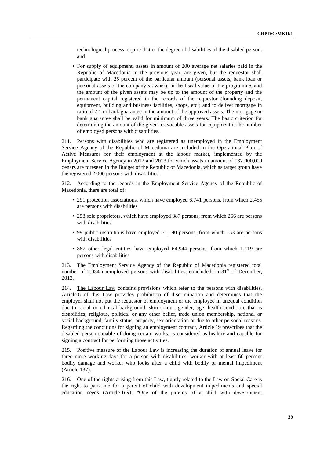technological process require that or the degree of disabilities of the disabled person. and

• For supply of equipment, assets in amount of 200 average net salaries paid in the Republic of Macedonia in the previous year, are given, but the requestor shall participate with 25 percent of the particular amount (personal assets, bank loan or personal assets of the company's owner), in the fiscal value of the programme, and the amount of the given assets may be up to the amount of the property and the permanent capital registered in the records of the requestor (founding deposit, equipment, building and business facilities, shops, etc.) and to deliver mortgage in ratio of 2:1 or bank guarantee in the amount of the approved assets. The mortgage or bank guarantee shall be valid for minimum of three years. The basic criterion for determining the amount of the given irrevocable assets for equipment is the number of employed persons with disabilities.

211. Persons with disabilities who are registered as unemployed in the Employment Service Agency of the Republic of Macedonia are included in the Operational Plan of Active Measures for their employment at the labour market, implemented by the Employment Service Agency in 2012 and 2013 for which assets in amount of 187,000,000 denars are foreseen in the Budget of the Republic of Macedonia, which as target group have the registered 2,000 persons with disabilities.

212. According to the records in the Employment Service Agency of the Republic of Macedonia, there are total of:

- 291 protection associations, which have employed 6,741 persons, from which 2,455 are persons with disabilities
- 258 sole proprietors, which have employed 387 persons, from which 266 are persons with disabilities
- 99 public institutions have employed 51,190 persons, from which 153 are persons with disabilities
- 887 other legal entities have employed 64,944 persons, from which 1,119 are persons with disabilities

213. The Employment Service Agency of the Republic of Macedonia registered total number of 2,034 unemployed persons with disabilities, concluded on  $31<sup>st</sup>$  of December, 2013.

214. The Labour Law contains provisions which refer to the persons with disabilities. Article 6 of this Law provides prohibition of discrimination and determines that the employer shall not put the requestor of employment or the employee in unequal condition due to racial or ethnical background, skin colour, gender, age, health condition, that is disabilities, religious, political or any other belief, trade union membership, national or social background, family status, property, sex orientation or due to other personal reasons. Regarding the conditions for signing an employment contract, Article 19 prescribes that the disabled person capable of doing certain works, is considered as healthy and capable for signing a contract for performing those activities.

215. Positive measure of the Labour Law is increasing the duration of annual leave for three more working days for a person with disabilities, worker with at least 60 percent bodily damage and worker who looks after a child with bodily or mental impediment (Article 137).

216. One of the rights arising from this Law, tightly related to the Law on Social Care is the right to part-time for a parent of child with development impediments and special education needs (Article 169): "One of the parents of a child with development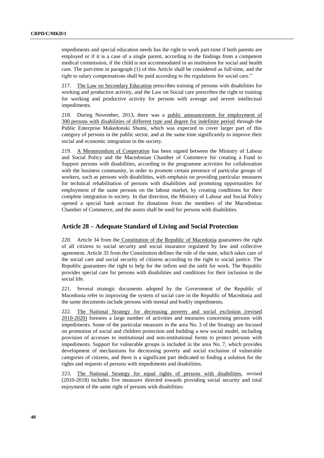impediments and special education needs has the right to work part-time if both parents are employed or if it is a case of a single parent, according to the findings from a competent medical commission, if the child is not accommodated in an institution for social and health care. The part-time in paragraph (1) of this Article shall be considered as full-time, and the right to salary compensations shall be paid according to the regulations for social care."

217. The Law on Secondary Education prescribes training of persons with disabilities for working and productive activity, and the Law on Social care prescribes the right to training for working and productive activity for persons with average and severe intellectual impediments.

218. During November, 2013, there was a public announcement for employment of 300 persons with disabilities of different type and degree for indefinite period through the Public Enterprise Makedonski Shumi, which was expected to cover larger part of this category of persons in the public sector, and at the same time significantly to improve their social and economic integration in the society.

219. A Memorandum of Cooperation has been signed between the Ministry of Labour and Social Policy and the Macedonian Chamber of Commerce for creating a Fund to Support persons with disabilities, according to the programme activities for collaboration with the business community, in order to promote certain presence of particular groups of workers, such as persons with disabilities, with emphasis on providing particular measures for technical rehabilitation of persons with disabilities and promoting opportunities for employment of the same persons on the labour market, by creating conditions for their complete integration in society. In that direction, the Ministry of Labour and Social Policy opened a special bank account for donations from the members of the Macedonian Chamber of Commerce, and the assets shall be used for persons with disabilities.

### **Article 28 – Adequate Standard of Living and Social Protection**

220. Article 34 from the Constitution of the Republic of Macedonia guarantees the right of all citizens to social security and social insurance regulated by law and collective agreement. Article 35 from the Constitution defines the role of the state, which takes care of the social care and social security of citizens according to the right to social justice. The Republic guarantees the right to help for the infirm and the unfit for work. The Republic provides special care for persons with disabilities and conditions for their inclusion in the social life.

221. Several strategic documents adopted by the Government of the Republic of Macedonia refer to improving the system of social care in the Republic of Macedonia and the same documents include persons with mental and bodily impediments.

222. The National Strategy for decreasing poverty and social exclusion (revised 2010-2020) foresees a large number of activities and measures concerning persons with impediments. Some of the particular measures in the area No. 3 of the Strategy are focused on promotion of social and children protection and building a new social model, including provision of accesses to institutional and non-institutional forms to protect persons with impediments. Support for vulnerable groups is included in the area No. 7, which provides development of mechanisms for decreasing poverty and social exclusion of vulnerable categories of citizens, and there is a significant part dedicated to finding a solution for the rights and requests of persons with impediments and disabilities.

223. The National Strategy for equal rights of persons with disabilities, revised (2010-2018) includes five measures directed towards providing social security and total enjoyment of the same right of persons with disabilities: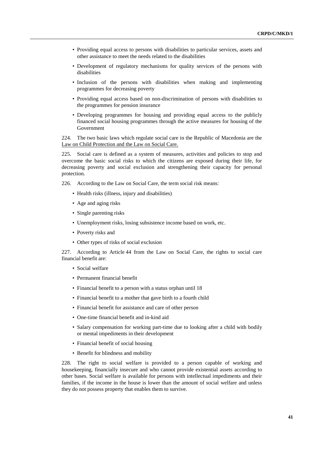- Providing equal access to persons with disabilities to particular services, assets and other assistance to meet the needs related to the disabilities
- Development of regulatory mechanisms for quality services of the persons with disabilities
- Inclusion of the persons with disabilities when making and implementing programmes for decreasing poverty
- Providing equal access based on non-discrimination of persons with disabilities to the programmes for pension insurance
- Developing programmes for housing and providing equal access to the publicly financed social housing programmes through the active measures for housing of the Government

224. The two basic laws which regulate social care in the Republic of Macedonia are the Law on Child Protection and the Law on Social Care.

225. Social care is defined as a system of measures, activities and policies to stop and overcome the basic social risks to which the citizens are exposed during their life, for decreasing poverty and social exclusion and strengthening their capacity for personal protection.

- 226. According to the Law on Social Care, the term social risk means:
	- Health risks (illness, injury and disabilities)
	- Age and aging risks
	- Single parenting risks
	- Unemployment risks, losing subsistence income based on work, etc.
	- Poverty risks and
	- Other types of risks of social exclusion

227. According to Article 44 from the Law on Social Care, the rights to social care financial benefit are:

- Social welfare
- Permanent financial benefit
- Financial benefit to a person with a status orphan until 18
- Financial benefit to a mother that gave birth to a fourth child
- Financial benefit for assistance and care of other person
- One-time financial benefit and in-kind aid
- Salary compensation for working part-time due to looking after a child with bodily or mental impediments in their development
- Financial benefit of social housing
- Benefit for blindness and mobility

228. The right to social welfare is provided to a person capable of working and housekeeping, financially insecure and who cannot provide existential assets according to other bases. Social welfare is available for persons with intellectual impediments and their families, if the income in the house is lower than the amount of social welfare and unless they do not possess property that enables them to survive.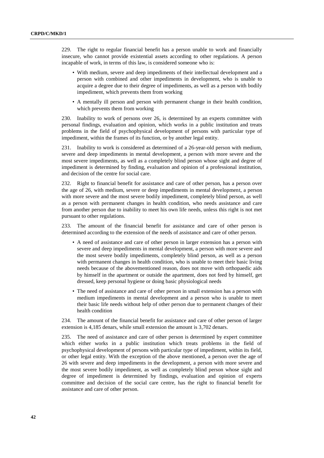229. The right to regular financial benefit has a person unable to work and financially insecure, who cannot provide existential assets according to other regulations. A person incapable of work, in terms of this law, is considered someone who is:

- With medium, severe and deep impediments of their intellectual development and a person with combined and other impediments in development, who is unable to acquire a degree due to their degree of impediments, as well as a person with bodily impediment, which prevents them from working
- A mentally ill person and person with permanent change in their health condition, which prevents them from working

230. Inability to work of persons over 26, is determined by an experts committee with personal findings, evaluation and opinion, which works in a public institution and treats problems in the field of psychophysical development of persons with particular type of impediment, within the frames of its function, or by another legal entity.

231. Inability to work is considered as determined of a 26-year-old person with medium, severe and deep impediments in mental development, a person with more severe and the most severe impediments, as well as a completely blind person whose sight and degree of impediment is determined by finding, evaluation and opinion of a professional institution, and decision of the centre for social care.

232. Right to financial benefit for assistance and care of other person, has a person over the age of 26, with medium, severe or deep impediments in mental development, a person with more severe and the most severe bodily impediment, completely blind person, as well as a person with permanent changes in health condition, who needs assistance and care from another person due to inability to meet his own life needs, unless this right is not met pursuant to other regulations.

233. The amount of the financial benefit for assistance and care of other person is determined according to the extension of the needs of assistance and care of other person.

- A need of assistance and care of other person in larger extension has a person with severe and deep impediments in mental development, a person with more severe and the most severe bodily impediments, completely blind person, as well as a person with permanent changes in health condition, who is unable to meet their basic living needs because of the abovementioned reason, does not move with orthopaedic aids by himself in the apartment or outside the apartment, does not feed by himself, get dressed, keep personal hygiene or doing basic physiological needs
- The need of assistance and care of other person in small extension has a person with medium impediments in mental development and a person who is unable to meet their basic life needs without help of other person due to permanent changes of their health condition

234. The amount of the financial benefit for assistance and care of other person of larger extension is 4,185 denars, while small extension the amount is 3,702 denars.

235. The need of assistance and care of other person is determined by expert committee which either works in a public institution which treats problems in the field of psychophysical development of persons with particular type of impediment, within its field, or other legal entity. With the exception of the above mentioned, a person over the age of 26 with severe and deep impediments in the development, a person with more severe and the most severe bodily impediment, as well as completely blind person whose sight and degree of impediment is determined by findings, evaluation and opinion of experts committee and decision of the social care centre, has the right to financial benefit for assistance and care of other person.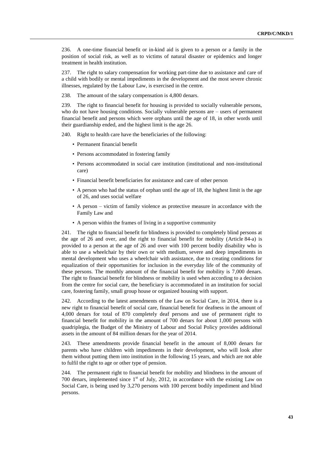236. A one-time financial benefit or in-kind aid is given to a person or a family in the position of social risk, as well as to victims of natural disaster or epidemics and longer treatment in health institution.

237. The right to salary compensation for working part-time due to assistance and care of a child with bodily or mental impediments in the development and the most severe chronic illnesses, regulated by the Labour Law, is exercised in the centre.

238. The amount of the salary compensation is 4,800 denars.

239. The right to financial benefit for housing is provided to socially vulnerable persons, who do not have housing conditions. Socially vulnerable persons are – users of permanent financial benefit and persons which were orphans until the age of 18, in other words until their guardianship ended, and the highest limit is the age 26.

240. Right to health care have the beneficiaries of the following:

- Permanent financial benefit
- Persons accommodated in fostering family
- Persons accommodated in social care institution (institutional and non-institutional care)
- Financial benefit beneficiaries for assistance and care of other person
- A person who had the status of orphan until the age of 18, the highest limit is the age of 26, and uses social welfare
- A person victim of family violence as protective measure in accordance with the Family Law and
- A person within the frames of living in a supportive community

241. The right to financial benefit for blindness is provided to completely blind persons at the age of 26 and over, and the right to financial benefit for mobility (Article 84-a) is provided to a person at the age of 26 and over with 100 percent bodily disability who is able to use a wheelchair by their own or with medium, severe and deep impediments in mental development who uses a wheelchair with assistance, due to creating conditions for equalization of their opportunities for inclusion in the everyday life of the community of these persons. The monthly amount of the financial benefit for mobility is 7,000 denars. The right to financial benefit for blindness or mobility is used when according to a decision from the centre for social care, the beneficiary is accommodated in an institution for social care, fostering family, small group house or organized housing with support.

242. According to the latest amendments of the Law on Social Care, in 2014, there is a new right to financial benefit of social care, financial benefit for deafness in the amount of 4,000 denars for total of 870 completely deaf persons and use of permanent right to financial benefit for mobility in the amount of 700 denars for about 1,000 persons with quadriplegia, the Budget of the Ministry of Labour and Social Policy provides additional assets in the amount of 84 million denars for the year of 2014.

243. These amendments provide financial benefit in the amount of 8,000 denars for parents who have children with impediments in their development, who will look after them without putting them into institution in the following 15 years, and which are not able to fulfil the right to age or other type of pension.

244. The permanent right to financial benefit for mobility and blindness in the amount of 700 denars, implemented since  $1<sup>st</sup>$  of July, 2012, in accordance with the existing Law on Social Care, is being used by 3,270 persons with 100 percent bodily impediment and blind persons.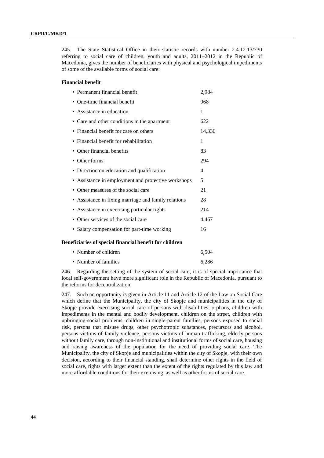245. The State Statistical Office in their statistic records with number 2.4.12.13/730 referring to social care of children, youth and adults, 2011–2012 in the Republic of Macedonia, gives the number of beneficiaries with physical and psychological impediments of some of the available forms of social care:

#### **Financial benefit**

| • Permanent financial benefit                           | 2,984  |
|---------------------------------------------------------|--------|
| One-time financial benefit                              | 968    |
| Assistance in education<br>٠                            | 1      |
| • Care and other conditions in the apartment            | 622    |
| Financial benefit for care on others<br>٠               | 14,336 |
| Financial benefit for rehabilitation<br>$\bullet$       | 1      |
| Other financial benefits                                | 83     |
| Other forms                                             | 294    |
| • Direction on education and qualification              | 4      |
| • Assistance in employment and protective workshops     | 5      |
| Other measures of the social care<br>٠                  | 21     |
| Assistance in fixing marriage and family relations<br>٠ | 28     |
| Assistance in exercising particular rights<br>٠         | 214    |
| Other services of the social care<br>٠                  | 4,467  |
| · Salary compensation for part-time working             | 16     |
| Beneficiaries of special financial benefit for children |        |

| • Number of children | 6.504 |
|----------------------|-------|
| • Number of families | 6.286 |

246. Regarding the setting of the system of social care, it is of special importance that local self-government have more significant role in the Republic of Macedonia, pursuant to the reforms for decentralization.

247. Such an opportunity is given in Article 11 and Article 12 of the Law on Social Care which define that the Municipality, the city of Skopje and municipalities in the city of Skopje provide exercising social care of persons with disabilities, orphans, children with impediments in the mental and bodily development, children on the street, children with upbringing-social problems, children in single-parent families, persons exposed to social risk, persons that misuse drugs, other psychotropic substances, precursors and alcohol, persons victims of family violence, persons victims of human trafficking, elderly persons without family care, through non-institutional and institutional forms of social care, housing and raising awareness of the population for the need of providing social care. The Municipality, the city of Skopje and municipalities within the city of Skopje, with their own decision, according to their financial standing, shall determine other rights in the field of social care, rights with larger extent than the extent of the rights regulated by this law and more affordable conditions for their exercising, as well as other forms of social care.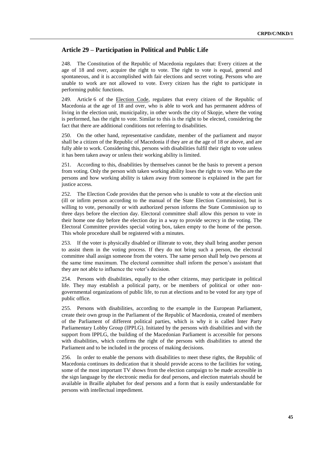## **Article 29 – Participation in Political and Public Life**

248. The Constitution of the Republic of Macedonia regulates that: Every citizen at the age of 18 and over, acquire the right to vote. The right to vote is equal, general and spontaneous, and it is accomplished with fair elections and secret voting. Persons who are unable to work are not allowed to vote. Every citizen has the right to participate in performing public functions.

249. Article 6 of the Election Code, regulates that every citizen of the Republic of Macedonia at the age of 18 and over, who is able to work and has permanent address of living in the election unit, municipality, in other words the city of Skopje, where the voting is performed, has the right to vote. Similar to this is the right to be elected, considering the fact that there are additional conditions not referring to disabilities.

250. On the other hand, representative candidate, member of the parliament and mayor shall be a citizen of the Republic of Macedonia if they are at the age of 18 or above, and are fully able to work. Considering this, persons with disabilities fulfil their right to vote unless it has been taken away or unless their working ability is limited.

251. According to this, disabilities by themselves cannot be the basis to prevent a person from voting. Only the person with taken working ability loses the right to vote. Who are the persons and how working ability is taken away from someone is explained in the part for justice access.

252. The Election Code provides that the person who is unable to vote at the election unit (ill or infirm person according to the manual of the State Election Commission), but is willing to vote, personally or with authorized person informs the State Commission up to three days before the election day. Electoral committee shall allow this person to vote in their home one day before the election day in a way to provide secrecy in the voting. The Electoral Committee provides special voting box, taken empty to the home of the person. This whole procedure shall be registered with a minutes.

253. If the voter is physically disabled or illiterate to vote, they shall bring another person to assist them in the voting process. If they do not bring such a person, the electoral committee shall assign someone from the voters. The same person shall help two persons at the same time maximum. The electoral committee shall inform the person's assistant that they are not able to influence the voter's decision.

254. Persons with disabilities, equally to the other citizens, may participate in political life. They may establish a political party, or be members of political or other nongovernmental organizations of public life, to run at elections and to be voted for any type of public office.

255. Persons with disabilities, according to the example in the European Parliament, create their own group in the Parliament of the Republic of Macedonia, created of members of the Parliament of different political parties, which is why it is called Inter Party Parliamentary Lobby Group (IPPLG). Initiated by the persons with disabilities and with the support from IPPLG, the building of the Macedonian Parliament is accessible for persons with disabilities, which confirms the right of the persons with disabilities to attend the Parliament and to be included in the process of making decisions.

256. In order to enable the persons with disabilities to meet these rights, the Republic of Macedonia continues its dedication that it should provide access to the facilities for voting, some of the most important TV shows from the election campaign to be made accessible in the sign language by the electronic media for deaf persons, and election materials should be available in Braille alphabet for deaf persons and a form that is easily understandable for persons with intellectual impediment.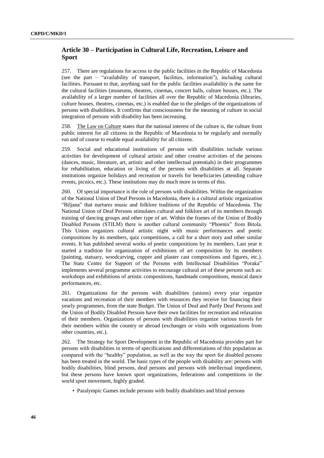## **Article 30 – Participation in Cultural Life, Recreation, Leisure and Sport**

257. There are regulations for access to the public facilities in the Republic of Macedonia (see the part – "availability of transport, facilities, information"), including cultural facilities. Pursuant to that, anything said for the public facilities availability is the same for the cultural facilities (museums, theatres, cinemas, concert halls, culture houses, etc.). The availability of a larger number of facilities all over the Republic of Macedonia (libraries, culture houses, theatres, cinemas, etc.) is enabled due to the pledges of the organizations of persons with disabilities. It confirms that consciousness for the meaning of culture in social integration of persons with disability has been increasing.

258. The Law on Culture states that the national interest of the culture is, the culture from public interest for all citizens in the Republic of Macedonia to be regularly and normally run and of course to enable equal availability for all citizens.

259. Social and educational institutions of persons with disabilities include various activities for development of cultural artistic and other creative activities of the persons (dances, music, literature, art, artistic and other intellectual potentials) in their programmes for rehabilitation, education or living of the persons with disabilities at all. Separate institutions organize holidays and recreation or travels for beneficiaries (attending culture events, picnics, etc.). These institutions may do much more in terms of this.

260. Of special importance is the role of persons with disabilities. Within the organization of the National Union of Deaf Persons in Macedonia, there is a cultural artistic organization "Biljana" that nurtures music and folklore traditions of the Republic of Macedonia. The National Union of Deaf Persons stimulates cultural and folklore art of its members through training of dancing groups and other type of art. Within the frames of the Union of Bodily Disabled Persons (STILM) there is another cultural community "Phoenix" from Bitola. This Union organizes cultural artistic night with music performances and poetic compositions by its members, quiz competitions, a call for a short story and other similar events. It has published several works of poetic compositions by its members. Last year it started a tradition for organization of exhibitions of art composition by its members (painting, statuary, woodcarving, copper and plaster cast compositions and figures, etc.). The State Centre for Support of the Persons with Intellectual Disabilities "Poraka" implements several programme activities to encourage cultural art of these persons such as: workshops and exhibitions of artistic compositions, handmade compositions, musical dance performances, etc.

261. Organizations for the persons with disabilities (unions) every year organize vacations and recreation of their members with resources they receive for financing their yearly programmes, from the state Budget. The Union of Deaf and Partly Deaf Persons and the Union of Bodily Disabled Persons have their own facilities for recreation and relaxation of their members. Organizations of persons with disabilities organize various travels for their members within the country or abroad (exchanges or visits with organizations from other countries, etc.).

262. The Strategy for Sport Development in the Republic of Macedonia provides part for persons with disabilities in terms of specifications and differentiations of this population as compared with the "healthy" population, as well as the way the sport for disabled persons has been treated in the world. The basic types of the people with disability are: persons with bodily disabilities, blind persons, deaf persons and persons with intellectual impediment, but these persons have known sport organizations, federations and competitions in the world sport movement, highly graded.

• Paralympic Games include persons with bodily disabilities and blind persons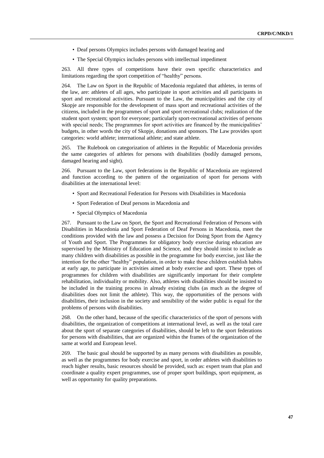- Deaf persons Olympics includes persons with damaged hearing and
- The Special Olympics includes persons with intellectual impediment

263. All three types of competitions have their own specific characteristics and limitations regarding the sport competition of "healthy" persons.

264. The Law on Sport in the Republic of Macedonia regulated that athletes, in terms of the law, are: athletes of all ages, who participate in sport activities and all participants in sport and recreational activities. Pursuant to the Law, the municipalities and the city of Skopje are responsible for the development of mass sport and recreational activities of the citizens, included in the programmes of sport and sport recreational clubs; realization of the student sport system; sport for everyone; particularly sport-recreational activities of persons with special needs; The programmes for sport activities are financed by the municipalities' budgets, in other words the city of Skopje, donations and sponsors. The Law provides sport categories: world athlete; international athlete; and state athlete.

265. The Rulebook on categorization of athletes in the Republic of Macedonia provides the same categories of athletes for persons with disabilities (bodily damaged persons, damaged hearing and sight).

266. Pursuant to the Law, sport federations in the Republic of Macedonia are registered and function according to the pattern of the organization of sport for persons with disabilities at the international level:

- Sport and Recreational Federation for Persons with Disabilities in Macedonia
- Sport Federation of Deaf persons in Macedonia and
- Special Olympics of Macedonia

267. Pursuant to the Law on Sport, the Sport and Recreational Federation of Persons with Disabilities in Macedonia and Sport Federation of Deaf Persons in Macedonia, meet the conditions provided with the law and possess a Decision for Doing Sport from the Agency of Youth and Sport. The Programmes for obligatory body exercise during education are supervised by the Ministry of Education and Science, and they should insist to include as many children with disabilities as possible in the programme for body exercise, just like the intention for the other "healthy" population, in order to make these children establish habits at early age, to participate in activities aimed at body exercise and sport. These types of programmes for children with disabilities are significantly important for their complete rehabilitation, individuality or mobility. Also, athletes with disabilities should be insisted to be included in the training process in already existing clubs (as much as the degree of disabilities does not limit the athlete). This way, the opportunities of the persons with disabilities, their inclusion in the society and sensibility of the wider public is equal for the problems of persons with disabilities.

268. On the other hand, because of the specific characteristics of the sport of persons with disabilities, the organization of competitions at international level, as well as the total care about the sport of separate categories of disabilities, should be left to the sport federations for persons with disabilities, that are organized within the frames of the organization of the same at world and European level.

269. The basic goal should be supported by as many persons with disabilities as possible, as well as the programmes for body exercise and sport, in order athletes with disabilities to reach higher results, basic resources should be provided, such as: expert team that plan and coordinate a quality expert programmes, use of proper sport buildings, sport equipment, as well as opportunity for quality preparations.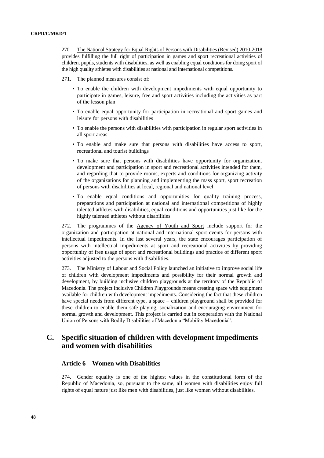270. The National Strategy for Equal Rights of Persons with Disabilities (Revised) 2010-2018 provides fulfilling the full right of participation in games and sport recreational activities of children, pupils, students with disabilities, as well as enabling equal conditions for doing sport of the high quality athletes with disabilities at national and international competitions.

271. The planned measures consist of:

- To enable the children with development impediments with equal opportunity to participate in games, leisure, free and sport activities including the activities as part of the lesson plan
- To enable equal opportunity for participation in recreational and sport games and leisure for persons with disabilities
- To enable the persons with disabilities with participation in regular sport activities in all sport areas
- To enable and make sure that persons with disabilities have access to sport, recreational and tourist buildings
- To make sure that persons with disabilities have opportunity for organization, development and participation in sport and recreational activities intended for them, and regarding that to provide rooms, experts and conditions for organizing activity of the organizations for planning and implementing the mass sport, sport recreation of persons with disabilities at local, regional and national level
- To enable equal conditions and opportunities for quality training process, preparations and participation at national and international competitions of highly talented athletes with disabilities, equal conditions and opportunities just like for the highly talented athletes without disabilities

272. The programmes of the Agency of Youth and Sport include support for the organization and participation at national and international sport events for persons with intellectual impediments. In the last several years, the state encourages participation of persons with intellectual impediments at sport and recreational activities by providing opportunity of free usage of sport and recreational buildings and practice of different sport activities adjusted to the persons with disabilities.

273. The Ministry of Labour and Social Policy launched an initiative to improve social life of children with development impediments and possibility for their normal growth and development, by building inclusive children playgrounds at the territory of the Republic of Macedonia. The project Inclusive Children Playgrounds means creating space with equipment available for children with development impediments. Considering the fact that these children have special needs from different type, a space – children playground shall be provided for these children to enable them safe playing, socialization and encouraging environment for normal growth and development. This project is carried out in cooperation with the National Union of Persons with Bodily Disabilities of Macedonia "Mobility Macedonia".

## **C. Specific situation of children with development impediments and women with disabilities**

#### **Article 6 – Women with Disabilities**

274. Gender equality is one of the highest values in the constitutional form of the Republic of Macedonia, so, pursuant to the same, all women with disabilities enjoy full rights of equal nature just like men with disabilities, just like women without disabilities.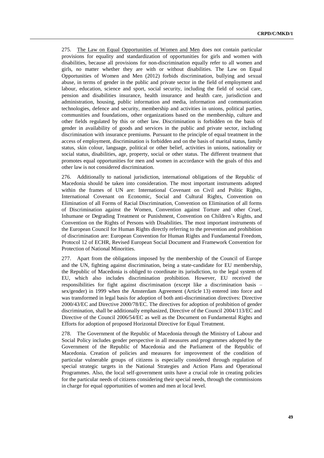275. The Law on Equal Opportunities of Women and Men does not contain particular provisions for equality and standardization of opportunities for girls and women with disabilities, because all provisions for non-discrimination equally refer to all women and girls, no matter whether they are with or without disabilities. The Law on Equal Opportunities of Women and Men (2012) forbids discrimination, bullying and sexual abuse, in terms of gender in the public and private sector in the field of employment and labour, education, science and sport, social security, including the field of social care, pension and disabilities insurance, health insurance and health care, jurisdiction and administration, housing, public information and media, information and communication technologies, defence and security, membership and activities in unions, political parties, communities and foundations, other organizations based on the membership, culture and other fields regulated by this or other law. Discrimination is forbidden on the basis of gender in availability of goods and services in the public and private sector, including discrimination with insurance premiums. Pursuant to the principle of equal treatment in the access of employment, discrimination is forbidden and on the basis of marital status, family status, skin colour, language, political or other belief, activities in unions, nationality or social status, disabilities, age, property, social or other status. The different treatment that promotes equal opportunities for men and women in accordance with the goals of this and other law is not considered discrimination.

276. Additionally to national jurisdiction, international obligations of the Republic of Macedonia should be taken into consideration. The most important instruments adopted within the frames of UN are: International Covenant on Civil and Politic Rights, International Covenant on Economic, Social and Cultural Rights, Convention on Elimination of all Forms of Racial Discrimination, Convention on Elimination of all forms of Discrimination against the Women, Convention against Torture and other Cruel, Inhumane or Degrading Treatment or Punishment, Convention on Children's Rights, and Convention on the Rights of Persons with Disabilities. The most important instruments of the European Council for Human Rights directly referring to the prevention and prohibition of discrimination are: European Convention for Human Rights and Fundamental Freedom, Protocol 12 of ECHR, Revised European Social Document and Framework Convention for Protection of National Minorities.

277. Apart from the obligations imposed by the membership of the Council of Europe and the UN, fighting against discrimination, being a state-candidate for EU membership, the Republic of Macedonia is obliged to coordinate its jurisdiction, to the legal system of EU, which also includes discrimination prohibition. However, EU received the responsibilities for fight against discrimination (except like a discrimination basis – sex/gender) in 1999 when the Amsterdam Agreement (Article 13) entered into force and was transformed in legal basis for adoption of both anti-discrimination directives: Directive 2000/43/EC and Directive 2000/78/EC. The directives for adoption of prohibition of gender discrimination, shall be additionally emphasized, Directive of the Council 2004/113/EC and Directive of the Council 2006/54/EC as well as the Document on Fundamental Rights and Efforts for adoption of proposed Horizontal Directive for Equal Treatment.

278. The Government of the Republic of Macedonia through the Ministry of Labour and Social Policy includes gender perspective in all measures and programmes adopted by the Government of the Republic of Macedonia and the Parliament of the Republic of Macedonia. Creation of policies and measures for improvement of the condition of particular vulnerable groups of citizens is especially considered through regulation of special strategic targets in the National Strategies and Action Plans and Operational Programmes. Also, the local self-government units have a crucial role in creating policies for the particular needs of citizens considering their special needs, through the commissions in charge for equal opportunities of women and men at local level.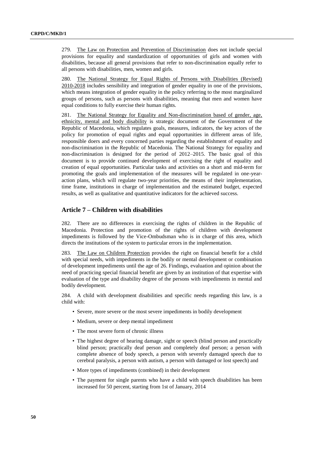279. The Law on Protection and Prevention of Discrimination does not include special provisions for equality and standardization of opportunities of girls and women with disabilities, because all general provisions that refer to non-discrimination equally refer to all persons with disabilities, men, women and girls.

280. The National Strategy for Equal Rights of Persons with Disabilities (Revised) 2010-2018 includes sensibility and integration of gender equality in one of the provisions, which means integration of gender equality in the policy referring to the most marginalized groups of persons, such as persons with disabilities, meaning that men and women have equal conditions to fully exercise their human rights.

281. The National Strategy for Equality and Non-discrimination based of gender, age, ethnicity, mental and body disability is strategic document of the Government of the Republic of Macedonia, which regulates goals, measures, indicators, the key actors of the policy for promotion of equal rights and equal opportunities in different areas of life, responsible doers and every concerned parties regarding the establishment of equality and non-discrimination in the Republic of Macedonia. The National Strategy for equality and non-discrimination is designed for the period of 2012–2015. The basic goal of this document is to provide continued development of exercising the right of equality and creation of equal opportunities. Particular tasks and activities on a short and mid-term for promoting the goals and implementation of the measures will be regulated in one-yearaction plans, which will regulate two-year priorities, the means of their implementation, time frame, institutions in charge of implementation and the estimated budget, expected results, as well as qualitative and quantitative indicators for the achieved success.

## **Article 7 – Children with disabilities**

282. There are no differences in exercising the rights of children in the Republic of Macedonia. Protection and promotion of the rights of children with development impediments is followed by the Vice-Ombudsman who is in charge of this area, which directs the institutions of the system to particular errors in the implementation.

283. The Law on Children Protection provides the right on financial benefit for a child with special needs, with impediments in the bodily or mental development or combination of development impediments until the age of 26. Findings, evaluation and opinion about the need of practicing special financial benefit are given by an institution of that expertise with evaluation of the type and disability degree of the persons with impediments in mental and bodily development.

284. A child with development disabilities and specific needs regarding this law, is a child with:

- Severe, more severe or the most severe impediments in bodily development
- Medium, severe or deep mental impediment
- The most severe form of chronic illness
- The highest degree of hearing damage, sight or speech (blind person and practically blind person; practically deaf person and completely deaf person; a person with complete absence of body speech, a person with severely damaged speech due to cerebral paralysis, a person with autism, a person with damaged or lost speech) and
- More types of impediments (combined) in their development
- The payment for single parents who have a child with speech disabilities has been increased for 50 percent, starting from 1st of January, 2014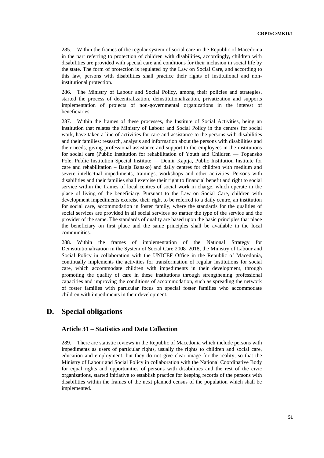285. Within the frames of the regular system of social care in the Republic of Macedonia in the part referring to protection of children with disabilities, accordingly, children with disabilities are provided with special care and conditions for their inclusion in social life by the state. The form of protection is regulated by the Law on Social Care, and according to this law, persons with disabilities shall practice their rights of institutional and noninstitutional protection.

286. The Ministry of Labour and Social Policy, among their policies and strategies, started the process of decentralization, deinstitutionalization, privatization and supports implementation of projects of non-governmental organizations in the interest of beneficiaries.

287. Within the frames of these processes, the Institute of Social Activities, being an institution that relates the Ministry of Labour and Social Policy in the centres for social work, have taken a line of activities for care and assistance to the persons with disabilities and their families: research, analysis and information about the persons with disabilities and their needs, giving professional assistance and support to the employees in the institutions for social care (Public Institution for rehabilitation of Youth and Children — Topansko Pole, Public Institution Special Institute — Demir Kapija, Public Institution Institute for care and rehabilitation – Banja Bansko) and daily centres for children with medium and severe intellectual impediments, trainings, workshops and other activities. Persons with disabilities and their families shall exercise their right to financial benefit and right to social service within the frames of local centres of social work in charge, which operate in the place of living of the beneficiary. Pursuant to the Law on Social Care, children with development impediments exercise their right to be referred to a daily centre, an institution for social care, accommodation in foster family, where the standards for the qualities of social services are provided in all social services no matter the type of the service and the provider of the same. The standards of quality are based upon the basic principles that place the beneficiary on first place and the same principles shall be available in the local communities.

288. Within the frames of implementation of the National Strategy for Deinstitutionalization in the System of Social Care 2008–2018, the Ministry of Labour and Social Policy in collaboration with the UNICEF Office in the Republic of Macedonia, continually implements the activities for transformation of regular institutions for social care, which accommodate children with impediments in their development, through promoting the quality of care in these institutions through strengthening professional capacities and improving the conditions of accommodation, such as spreading the network of foster families with particular focus on special foster families who accommodate children with impediments in their development.

## **D. Special obligations**

#### **Article 31 – Statistics and Data Collection**

289. There are statistic reviews in the Republic of Macedonia which include persons with impediments as users of particular rights, usually the rights to children and social care, education and employment, but they do not give clear image for the reality, so that the Ministry of Labour and Social Policy in collaboration with the National Coordinative Body for equal rights and opportunities of persons with disabilities and the rest of the civic organizations, started initiative to establish practice for keeping records of the persons with disabilities within the frames of the next planned census of the population which shall be implemented.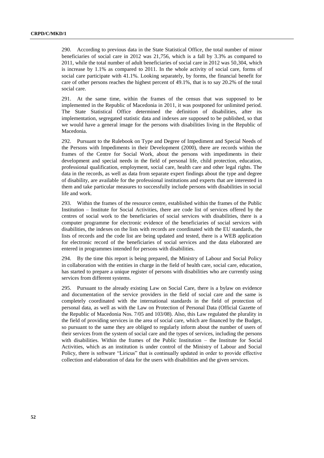290. According to previous data in the State Statistical Office, the total number of minor beneficiaries of social care in 2012 was 21,756, which is a fall by 3.3% as compared to 2011, while the total number of adult beneficiaries of social care in 2012 was 50,304, which is increase by 1.1% as compared to 2011. In the whole activity of social care, forms of social care participate with 41.1%. Looking separately, by forms, the financial benefit for care of other persons reaches the highest percent of 49.1%, that is to say 20.2% of the total social care.

291. At the same time, within the frames of the census that was supposed to be implemented in the Republic of Macedonia in 2011, it was postponed for unlimited period. The State Statistical Office determined the definition of disabilities, after its implementation, segregated statistic data and indexes are supposed to be published, so that we would have a general image for the persons with disabilities living in the Republic of Macedonia.

292. Pursuant to the Rulebook on Type and Degree of Impediment and Special Needs of the Persons with Impediments in their Development (2000), there are records within the frames of the Centre for Social Work, about the persons with impediments in their development and special needs in the field of personal life, child protection, education, professional qualification, employment, social care, health care and other legal rights. The data in the records, as well as data from separate expert findings about the type and degree of disability, are available for the professional institutions and experts that are interested in them and take particular measures to successfully include persons with disabilities in social life and work.

293. Within the frames of the resource centre, established within the frames of the Public Institution – Institute for Social Activities, there are code list of services offered by the centres of social work to the beneficiaries of social services with disabilities, there is a computer programme for electronic evidence of the beneficiaries of social services with disabilities, the indexes on the lists with records are coordinated with the EU standards, the lists of records and the code list are being updated and tested, there is a WEB application for electronic record of the beneficiaries of social services and the data elaborated are entered in programmes intended for persons with disabilities.

294. By the time this report is being prepared, the Ministry of Labour and Social Policy in collaboration with the entities in charge in the field of health care, social care, education, has started to prepare a unique register of persons with disabilities who are currently using services from different systems.

295. Pursuant to the already existing Law on Social Care, there is a bylaw on evidence and documentation of the service providers in the field of social care and the same is completely coordinated with the international standards in the field of protection of personal data, as well as with the Law on Protection of Personal Data (Official Gazette of the Republic of Macedonia Nos. 7/05 and 103/08). Also, this Law regulated the plurality in the field of providing services in the area of social care, which are financed by the Budget, so pursuant to the same they are obliged to regularly inform about the number of users of their services from the system of social care and the types of services, including the persons with disabilities. Within the frames of the Public Institution – the Institute for Social Activities, which as an institution is under control of the Ministry of Labour and Social Policy, there is software "Liricus" that is continually updated in order to provide effective collection and elaboration of data for the users with disabilities and the given services.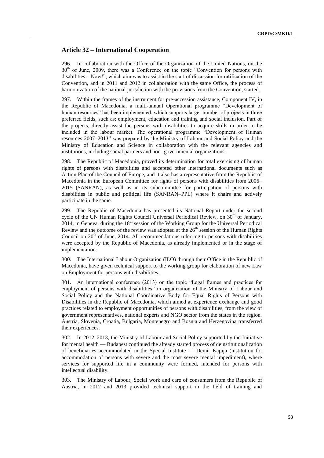### **Article 32 – International Cooperation**

296. In collaboration with the Office of the Organization of the United Nations, on the  $30<sup>th</sup>$  of June, 2009, there was a Conference on the topic "Convention for persons with disabilities – Now!", which aim was to assist in the start of discussion for ratification of the Convention, and in 2011 and 2012 in collaboration with the same Office, the process of harmonization of the national jurisdiction with the provisions from the Convention, started.

297. Within the frames of the instrument for pre-accession assistance, Component IV, in the Republic of Macedonia, a multi-annual Operational programme "Development of human resources" has been implemented, which supports larger number of projects in three preferred fields, such as: employment, education and training and social inclusion. Part of the projects, directly assist the persons with disabilities to acquire skills in order to be included in the labour market. The operational programme "Development of Human resources 2007–2013" was prepared by the Ministry of Labour and Social Policy and the Ministry of Education and Science in collaboration with the relevant agencies and institutions, including social partners and non- governmental organizations.

298. The Republic of Macedonia, proved its determination for total exercising of human rights of persons with disabilities and accepted other international documents such as Action Plan of the Council of Europe, and it also has a representative from the Republic of Macedonia in the European Committee for rights of persons with disabilities from 2006– 2015 (SANRAN), as well as in its subcommittee for participation of persons with disabilities in public and political life (SANRAN–PPL) where it chairs and actively participate in the same.

299. The Republic of Macedonia has presented its National Report under the second cycle of the UN Human Rights Council Universal Periodical Review, on  $30<sup>th</sup>$  of January, 2014, in Geneva, during the  $18<sup>th</sup>$  session of the Working Group for the Universal Periodical Review and the outcome of the review was adopted at the  $26<sup>th</sup>$  session of the Human Rights Council on  $20<sup>th</sup>$  of June, 2014. All recommendations referring to persons with disabilities were accepted by the Republic of Macedonia, as already implemented or in the stage of implementation.

300. The International Labour Organization (ILO) through their Office in the Republic of Macedonia, have given technical support to the working group for elaboration of new Law on Employment for persons with disabilities.

301. An international conference (2013) on the topic "Legal frames and practices for employment of persons with disabilities" in organization of the Ministry of Labour and Social Policy and the National Coordinative Body for Equal Rights of Persons with Disabilities in the Republic of Macedonia, which aimed at experience exchange and good practices related to employment opportunities of persons with disabilities, from the view of government representatives, national experts and NGO sector from the states in the region. Austria, Slovenia, Croatia, Bulgaria, Montenegro and Bosnia and Herzegovina transferred their experiences.

302. In 2012–2013, the Ministry of Labour and Social Policy supported by the Initiative for mental health — Budapest continued the already started process of deinstitutionalization of beneficiaries accommodated in the Special Institute — Demir Kapija (institution for accommodation of persons with severe and the most severe mental impediment), where services for supported life in a community were formed, intended for persons with intellectual disability.

303. The Ministry of Labour, Social work and care of consumers from the Republic of Austria, in 2012 and 2013 provided technical support in the field of training and